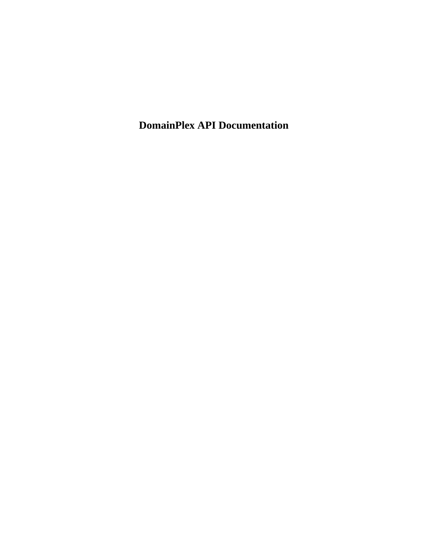**DomainPlex API Documentation**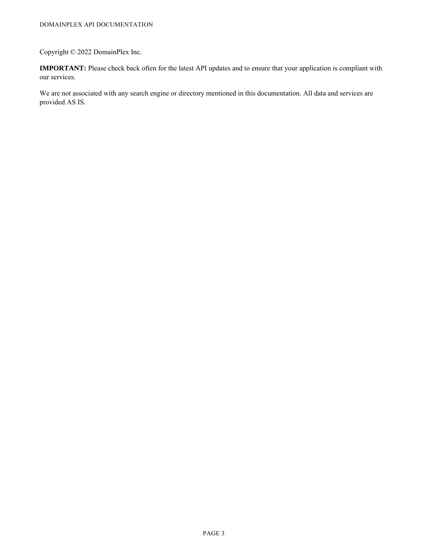### Copyright © 2022 DomainPlex Inc.

**IMPORTANT:** Please check back often for the latest API updates and to ensure that your application is compliant with our services.

We are not associated with any search engine or directory mentioned in this documentation. All data and services are provided AS IS.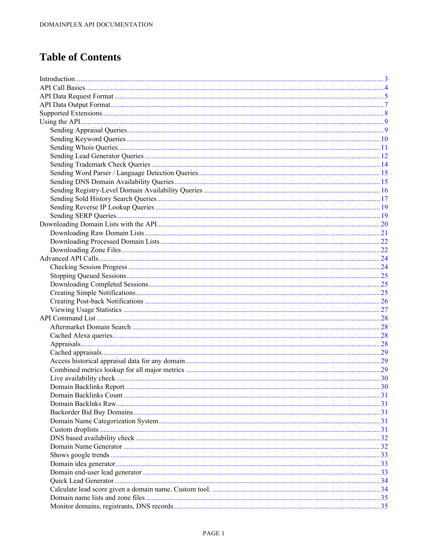# **Table of Contents**

| Domain Backlinks Report | <b>30</b> |
|-------------------------|-----------|
|                         |           |
|                         |           |
|                         |           |
|                         |           |
|                         |           |
|                         |           |
|                         |           |
|                         |           |
|                         |           |
|                         |           |
|                         |           |
|                         |           |
|                         |           |
|                         |           |
|                         |           |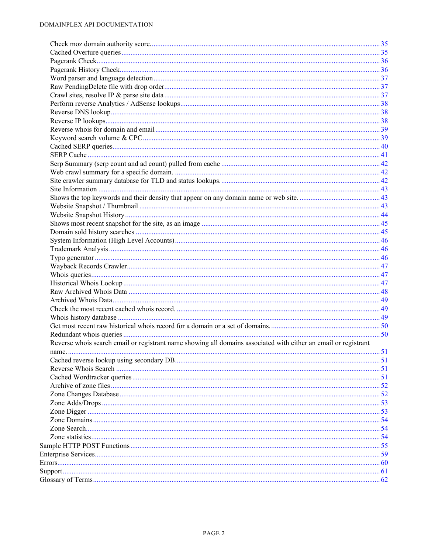| Reverse whois search email or registrant name showing all domains associated with either an email or registrant |  |
|-----------------------------------------------------------------------------------------------------------------|--|
|                                                                                                                 |  |
|                                                                                                                 |  |
|                                                                                                                 |  |
|                                                                                                                 |  |
|                                                                                                                 |  |
|                                                                                                                 |  |
|                                                                                                                 |  |
|                                                                                                                 |  |
|                                                                                                                 |  |
|                                                                                                                 |  |
|                                                                                                                 |  |
|                                                                                                                 |  |
|                                                                                                                 |  |
|                                                                                                                 |  |
|                                                                                                                 |  |
|                                                                                                                 |  |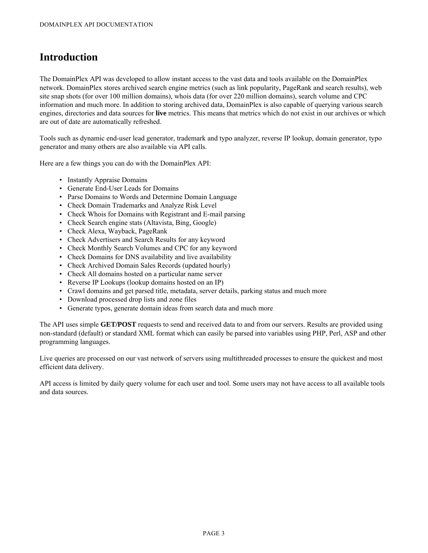# <span id="page-4-0"></span>**Introduction**

The DomainPlex API was developed to allow instant access to the vast data and tools available on the DomainPlex network. DomainPlex stores archived search engine metrics (such as link popularity, PageRank and search results), web site snap shots (for over 100 million domains), whois data (for over 220 million domains), search volume and CPC information and much more. In addition to storing archived data, DomainPlex is also capable of querying various search engines, directories and data sources for **live** metrics. This means that metrics which do not exist in our archives or which are out of date are automatically refreshed.

Tools such as dynamic end-user lead generator, trademark and typo analyzer, reverse IP lookup, domain generator, typo generator and many others are also available via API calls.

Here are a few things you can do with the DomainPlex API:

- Instantly Appraise Domains
- Generate End-User Leads for Domains
- Parse Domains to Words and Determine Domain Language
- Check Domain Trademarks and Analyze Risk Level
- Check Whois for Domains with Registrant and E-mail parsing
- Check Search engine stats (Altavista, Bing, Google)
- Check Alexa, Wayback, PageRank
- Check Advertisers and Search Results for any keyword
- Check Monthly Search Volumes and CPC for any keyword
- Check Domains for DNS availability and live availability
- Check Archived Domain Sales Records (updated hourly)
- Check All domains hosted on a particular name server
- Reverse IP Lookups (lookup domains hosted on an IP)
- Crawl domains and get parsed title, metadata, server details, parking status and much more
- Download processed drop lists and zone files
- Generate typos, generate domain ideas from search data and much more

The API uses simple **GET/POST** requests to send and received data to and from our servers. Results are provided using non-standard (default) or standard XML format which can easily be parsed into variables using PHP, Perl, ASP and other programming languages.

Live queries are processed on our vast network of servers using multithreaded processes to ensure the quickest and most efficient data delivery.

API access is limited by daily query volume for each user and tool. Some users may not have access to all available tools and data sources.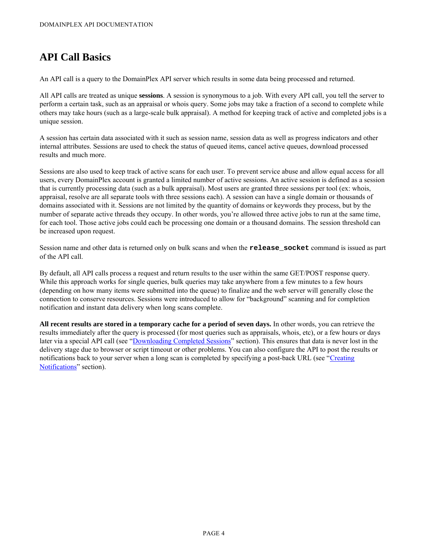# <span id="page-5-0"></span>**API Call Basics**

An API call is a query to the DomainPlex API server which results in some data being processed and returned.

All API calls are treated as unique **sessions**. A session is synonymous to a job. With every API call, you tell the server to perform a certain task, such as an appraisal or whois query. Some jobs may take a fraction of a second to complete while others may take hours (such as a large-scale bulk appraisal). A method for keeping track of active and completed jobs is a unique session.

A session has certain data associated with it such as session name, session data as well as progress indicators and other internal attributes. Sessions are used to check the status of queued items, cancel active queues, download processed results and much more.

Sessions are also used to keep track of active scans for each user. To prevent service abuse and allow equal access for all users, every DomainPlex account is granted a limited number of active sessions. An active session is defined as a session that is currently processing data (such as a bulk appraisal). Most users are granted three sessions per tool (ex: whois, appraisal, resolve are all separate tools with three sessions each). A session can have a single domain or thousands of domains associated with it. Sessions are not limited by the quantity of domains or keywords they process, but by the number of separate active threads they occupy. In other words, you're allowed three active jobs to run at the same time, for each tool. Those active jobs could each be processing one domain or a thousand domains. The session threshold can be increased upon request.

Session name and other data is returned only on bulk scans and when the **release\_socket** command is issued as part of the API call.

By default, all API calls process a request and return results to the user within the same GET/POST response query. While this approach works for single queries, bulk queries may take anywhere from a few minutes to a few hours (depending on how many items were submitted into the queue) to finalize and the web server will generally close the connection to conserve resources. Sessions were introduced to allow for "background" scanning and for completion notification and instant data delivery when long scans complete.

**All recent results are stored in a temporary cache for a period of seven days.** In other words, you can retrieve the results immediately after the query is processed (for most queries such as appraisals, whois, etc), or a few hours or days later via a special API call (see "[Downloading Completed Sessions"](#page-26-1) section). This ensures that data is never lost in the delivery stage due to browser or script timeout or other problems. You can also configure the API to post the results or notifications back to your server when a long scan is completed by specifying a post-back URL (see "[Creating](#page-26-2) [Notifications"](#page-26-2) section).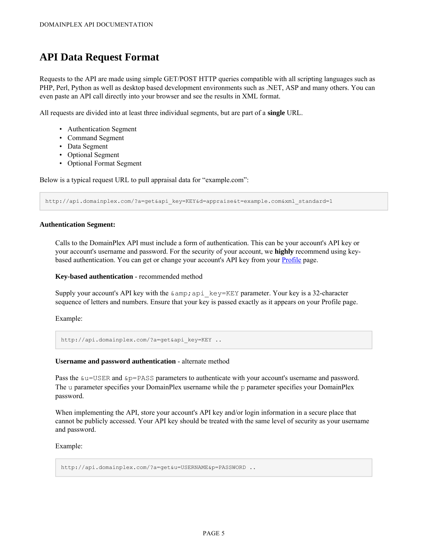## <span id="page-6-0"></span>**API Data Request Format**

Requests to the API are made using simple GET/POST HTTP queries compatible with all scripting languages such as PHP, Perl, Python as well as desktop based development environments such as .NET, ASP and many others. You can even paste an API call directly into your browser and see the results in XML format.

All requests are divided into at least three individual segments, but are part of a **single** URL.

- Authentication Segment
- Command Segment
- Data Segment
- Optional Segment
- Optional Format Segment

Below is a typical request URL to pull appraisal data for "example.com":

http://api.domainplex.com/?a=get&api\_key=KEY&d=appraise&t=example.com&xml\_standard=1

#### **Authentication Segment:**

Calls to the DomainPlex API must include a form of authentication. This can be your account's API key or your account's username and password. For the security of your account, we **highly** recommend using keybased authentication. You can get or change your account's API key from your [Profile](https://www.domainplex.com/user.php?a=profile) page.

#### **Key-based authentication** - recommended method

Supply your account's API key with the  $\&;api\&key=KEY\ parameter.$  Your key is a 32-character sequence of letters and numbers. Ensure that your key is passed exactly as it appears on your Profile page.

Example:

http://api.domainplex.com/?a=qet&api key=KEY ..

#### **Username and password authentication** - alternate method

Pass the  $\&u$ =USER and  $&p$ =PASS parameters to authenticate with your account's username and password. The u parameter specifies your DomainPlex username while the p parameter specifies your DomainPlex password.

When implementing the API, store your account's API key and/or login information in a secure place that cannot be publicly accessed. Your API key should be treated with the same level of security as your username and password.

Example:

http://api.domainplex.com/?a=get&u=USERNAME&p=PASSWORD ..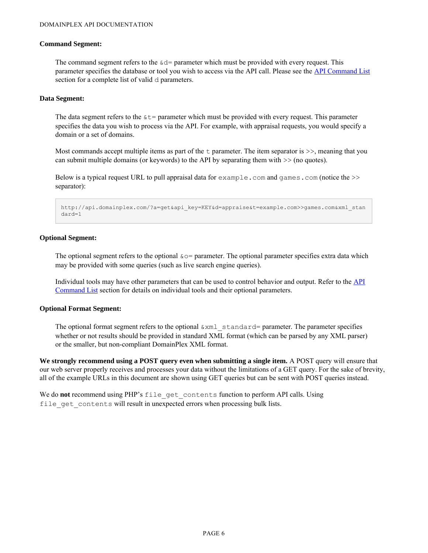#### **Command Segment:**

The command segment refers to the  $\&d=$  parameter which must be provided with every request. This parameter specifies the database or tool you wish to access via the API call. Please see the [API Command List](#page-29-0) section for a complete list of valid d parameters.

#### **Data Segment:**

The data segment refers to the  $\&\tau$ = parameter which must be provided with every request. This parameter specifies the data you wish to process via the API. For example, with appraisal requests, you would specify a domain or a set of domains.

Most commands accept multiple items as part of the  $\pm$  parameter. The item separator is  $\geq$ , meaning that you can submit multiple domains (or keywords) to the API by separating them with  $\gg$  (no quotes).

Below is a typical request URL to pull appraisal data for  $\epsilon$ xample.com and games.com (notice the  $\epsilon$ ) separator):

```
http://api.domainplex.com/?a=get&api_key=KEY&d=appraise&t=example.com>>games.com&xml_stan
dard=1
```
#### **Optional Segment:**

The optional segment refers to the optional  $\&o=$  parameter. The optional parameter specifies extra data which may be provided with some queries (such as live search engine queries).

Individual tools may have other parameters that can be used to control behavior and output. Refer to the [API](#page-29-0) [Command List](#page-29-0) section for details on individual tools and their optional parameters.

#### **Optional Format Segment:**

The optional format segment refers to the optional  $\&\text{cm1}$  standard= parameter. The parameter specifies whether or not results should be provided in standard XML format (which can be parsed by any XML parser) or the smaller, but non-compliant DomainPlex XML format.

**We strongly recommend using a POST query even when submitting a single item.** A POST query will ensure that our web server properly receives and processes your data without the limitations of a GET query. For the sake of brevity, all of the example URLs in this document are shown using GET queries but can be sent with POST queries instead.

We do not recommend using PHP's file get contents function to perform API calls. Using file get contents will result in unexpected errors when processing bulk lists.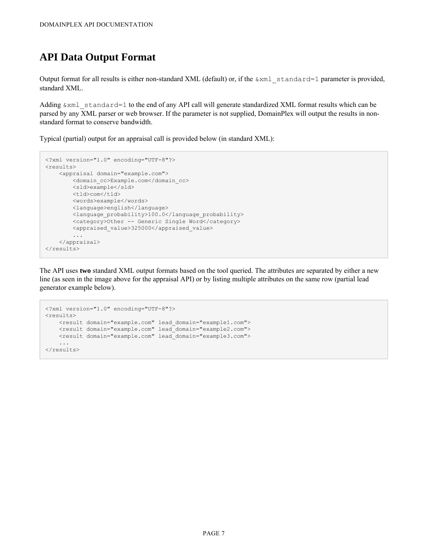# <span id="page-8-0"></span>**API Data Output Format**

Output format for all results is either non-standard XML (default) or, if the  $\&\text{xml}$  standard=1 parameter is provided, standard XML.

Adding  $\&x$ ml standard=1 to the end of any API call will generate standardized XML format results which can be parsed by any XML parser or web browser. If the parameter is not supplied, DomainPlex will output the results in nonstandard format to conserve bandwidth.

Typical (partial) output for an appraisal call is provided below (in standard XML):

```
<?xml version="1.0" encoding="UTF-8"?>
<results>
   <appraisal domain="example.com">
       <domain_cc>Example.com</domain_cc>
       <sld>example</sld>
       <tld>com</tld>
       <words>example</words>
       <language>english</language>
       <language_probability>100.0</language_probability>
       <category>Other -- Generic Single Word</category>
       <appraised_value>325000</appraised_value>
        ...
   </appraisal>
</results>
```
The API uses **two** standard XML output formats based on the tool queried. The attributes are separated by either a new line (as seen in the image above for the appraisal API) or by listing multiple attributes on the same row (partial lead generator example below).

```
<?xml version="1.0" encoding="UTF-8"?>
<results>
   <result domain="example.com" lead_domain="example1.com">
   <result domain="example.com" lead_domain="example2.com">
   <result domain="example.com" lead_domain="example3.com">
   ...
\langle/results>
```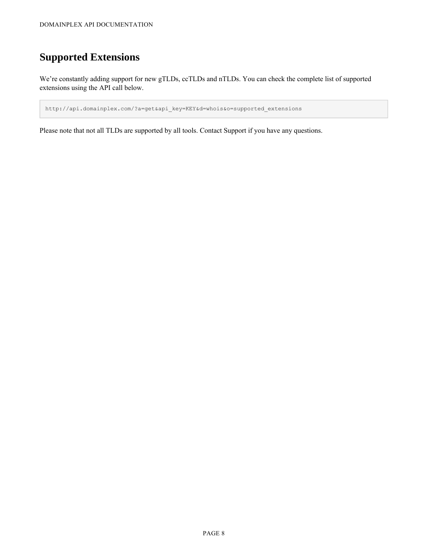# <span id="page-9-0"></span>**Supported Extensions**

We're constantly adding support for new gTLDs, ccTLDs and nTLDs. You can check the complete list of supported extensions using the API call below.

http://api.domainplex.com/?a=get&api\_key=KEY&d=whois&o=supported\_extensions

Please note that not all TLDs are supported by all tools. Contact Support if you have any questions.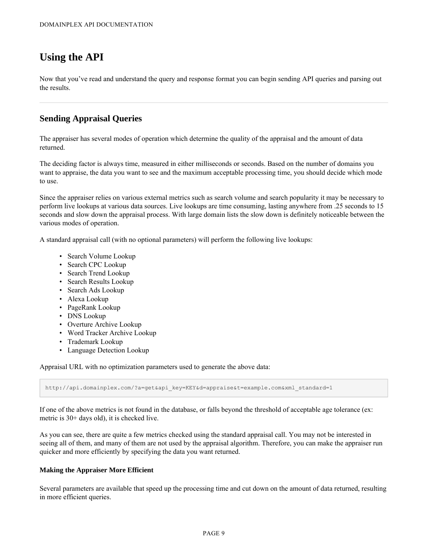# <span id="page-10-0"></span>**Using the API**

Now that you've read and understand the query and response format you can begin sending API queries and parsing out the results.

## <span id="page-10-1"></span>**Sending Appraisal Queries**

The appraiser has several modes of operation which determine the quality of the appraisal and the amount of data returned.

The deciding factor is always time, measured in either milliseconds or seconds. Based on the number of domains you want to appraise, the data you want to see and the maximum acceptable processing time, you should decide which mode to use.

Since the appraiser relies on various external metrics such as search volume and search popularity it may be necessary to perform live lookups at various data sources. Live lookups are time consuming, lasting anywhere from .25 seconds to 15 seconds and slow down the appraisal process. With large domain lists the slow down is definitely noticeable between the various modes of operation.

A standard appraisal call (with no optional parameters) will perform the following live lookups:

- Search Volume Lookup
- Search CPC Lookup
- Search Trend Lookup
- Search Results Lookup
- Search Ads Lookup
- Alexa Lookup
- PageRank Lookup
- DNS Lookup
- Overture Archive Lookup
- Word Tracker Archive Lookup
- Trademark Lookup
- Language Detection Lookup

Appraisal URL with no optimization parameters used to generate the above data:

http://api.domainplex.com/?a=get&api\_key=KEY&d=appraise&t=example.com&xml\_standard=1

If one of the above metrics is not found in the database, or falls beyond the threshold of acceptable age tolerance (ex: metric is 30+ days old), it is checked live.

As you can see, there are quite a few metrics checked using the standard appraisal call. You may not be interested in seeing all of them, and many of them are not used by the appraisal algorithm. Therefore, you can make the appraiser run quicker and more efficiently by specifying the data you want returned.

#### **Making the Appraiser More Efficient**

Several parameters are available that speed up the processing time and cut down on the amount of data returned, resulting in more efficient queries.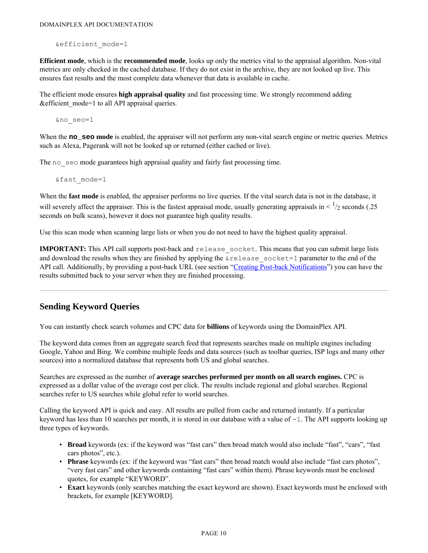&efficient\_mode=1

**Efficient mode**, which is the **recommended mode**, looks up only the metrics vital to the appraisal algorithm. Non-vital metrics are only checked in the cached database. If they do not exist in the archive, they are not looked up live. This ensures fast results and the most complete data whenever that data is available in cache.

The efficient mode ensures **high appraisal quality** and fast processing time. We strongly recommend adding &efficient\_mode=1 to all API appraisal queries.

&no\_seo=1

When the **no** seo mode is enabled, the appraiser will not perform any non-vital search engine or metric queries. Metrics such as Alexa, Pagerank will not be looked up or returned (either cached or live).

The no seo mode guarantees high appraisal quality and fairly fast processing time.

&fast\_mode=1

When the **fast mode** is enabled, the appraiser performs no live queries. If the vital search data is not in the database, it will severely affect the appraiser. This is the fastest appraisal mode, usually generating appraisals in  $\lt$   $\frac{1}{2}$  seconds (.25) seconds on bulk scans), however it does not guarantee high quality results.

Use this scan mode when scanning large lists or when you do not need to have the highest quality appraisal.

**IMPORTANT:** This API call supports post-back and release\_socket. This means that you can submit large lists and download the results when they are finished by applying the  $\&$ release socket=1 parameter to the end of the API call. Additionally, by providing a post-back URL (see section ["Creating Post-back Notifications](#page-26-2)") you can have the results submitted back to your server when they are finished processing.

## <span id="page-11-0"></span>**Sending Keyword Queries**

You can instantly check search volumes and CPC data for **billions** of keywords using the DomainPlex API.

The keyword data comes from an aggregate search feed that represents searches made on multiple engines including Google, Yahoo and Bing. We combine multiple feeds and data sources (such as toolbar queries, ISP logs and many other sources) into a normalized database that represents both US and global searches.

Searches are expressed as the number of **average searches performed per month on all search engines.** CPC is expressed as a dollar value of the average cost per click. The results include regional and global searches. Regional searches refer to US searches while global refer to world searches.

Calling the keyword API is quick and easy. All results are pulled from cache and returned instantly. If a particular keyword has less than 10 searches per month, it is stored in our database with a value of  $-1$ . The API supports looking up three types of keywords.

- **Broad** keywords (ex: if the keyword was "fast cars" then broad match would also include "fast", "cars", "fast cars photos", etc.).
- **Phrase** keywords (ex: if the keyword was "fast cars" then broad match would also include "fast cars photos", "very fast cars" and other keywords containing "fast cars" within them). Phrase keywords must be enclosed quotes, for example "KEYWORD".
- **Exact** keywords (only searches matching the exact keyword are shown). Exact keywords must be enclosed with brackets, for example [KEYWORD].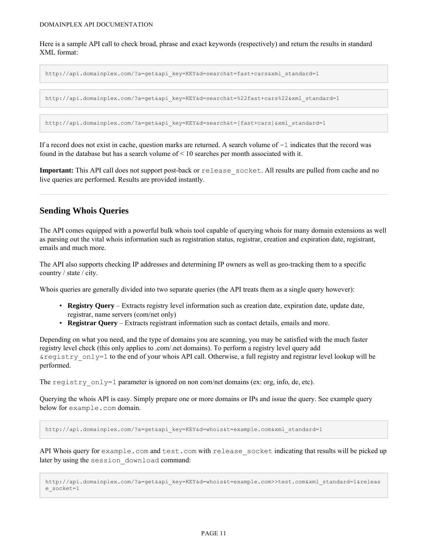Here is a sample API call to check broad, phrase and exact keywords (respectively) and return the results in standard XML format:

http://api.domainplex.com/?a=get&api\_key=KEY&d=search&t=fast+cars&xml\_standard=1

http://api.domainplex.com/?a=get&api\_key=KEY&d=search&t=%22fast+cars%22&xml\_standard=1

http://api.domainplex.com/?a=get&api\_key=KEY&d=search&t=[fast+cars]&xml\_standard=1

If a record does not exist in cache, question marks are returned. A search volume of  $-1$  indicates that the record was found in the database but has a search volume of  $\leq 10$  searches per month associated with it.

**Important:** This API call does not support post-back or release socket. All results are pulled from cache and no live queries are performed. Results are provided instantly.

## <span id="page-12-0"></span>**Sending Whois Queries**

The API comes equipped with a powerful bulk whois tool capable of querying whois for many domain extensions as well as parsing out the vital whois information such as registration status, registrar, creation and expiration date, registrant, emails and much more.

The API also supports checking IP addresses and determining IP owners as well as geo-tracking them to a specific country / state / city.

Whois queries are generally divided into two separate queries (the API treats them as a single query however):

- **Registry Query** Extracts registry level information such as creation date, expiration date, update date, registrar, name servers (com/net only)
- **Registrar Query** Extracts registrant information such as contact details, emails and more.

Depending on what you need, and the type of domains you are scanning, you may be satisfied with the much faster registry level check (this only applies to .com/.net domains). To perform a registry level query add &registry\_only=1 to the end of your whois API call. Otherwise, a full registry and registrar level lookup will be performed.

The registry only=1 parameter is ignored on non com/net domains (ex: org, info, de, etc).

Querying the whois API is easy. Simply prepare one or more domains or IPs and issue the query. See example query below for example.com domain.

http://api.domainplex.com/?a=get&api\_key=KEY&d=whois&t=example.com&xml\_standard=1

API Whois query for example.com and test.com with release socket indicating that results will be picked up later by using the session download command:

```
http://api.domainplex.com/?a=get&api_key=KEY&d=whois&t=example.com>>test.com&xml_standard=1&releas
e_socket=1
```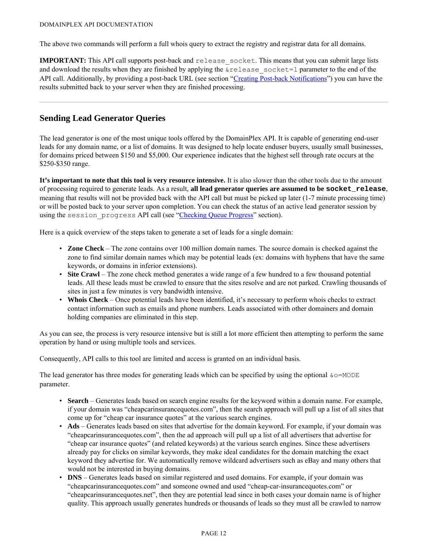The above two commands will perform a full whois query to extract the registry and registrar data for all domains.

**IMPORTANT:** This API call supports post-back and release socket. This means that you can submit large lists and download the results when they are finished by applying the  $\&$ release socket=1 parameter to the end of the API call. Additionally, by providing a post-back URL (see section ["Creating Post-back Notifications](#page-26-2)") you can have the results submitted back to your server when they are finished processing.

## <span id="page-13-0"></span>**Sending Lead Generator Queries**

The lead generator is one of the most unique tools offered by the DomainPlex API. It is capable of generating end-user leads for any domain name, or a list of domains. It was designed to help locate enduser buyers, usually small businesses, for domains priced between \$150 and \$5,000. Our experience indicates that the highest sell through rate occurs at the \$250-\$350 range.

**It's important to note that this tool is very resource intensive.** It is also slower than the other tools due to the amount of processing required to generate leads. As a result, **all lead generator queries are assumed to be socket\_release**, meaning that results will not be provided back with the API call but must be picked up later (1-7 minute processing time) or will be posted back to your server upon completion. You can check the status of an active lead generator session by using the session progress API call (see "Checking Queue Progress" section).

Here is a quick overview of the steps taken to generate a set of leads for a single domain:

- **Zone Check** The zone contains over 100 million domain names. The source domain is checked against the zone to find similar domain names which may be potential leads (ex: domains with hyphens that have the same keywords, or domains in inferior extensions).
- **Site Crawl** The zone check method generates a wide range of a few hundred to a few thousand potential leads. All these leads must be crawled to ensure that the sites resolve and are not parked. Crawling thousands of sites in just a few minutes is very bandwidth intensive.
- **Whois Check** Once potential leads have been identified, it's necessary to perform whois checks to extract contact information such as emails and phone numbers. Leads associated with other domainers and domain holding companies are eliminated in this step.

As you can see, the process is very resource intensive but is still a lot more efficient then attempting to perform the same operation by hand or using multiple tools and services.

Consequently, API calls to this tool are limited and access is granted on an individual basis.

The lead generator has three modes for generating leads which can be specified by using the optional  $\&\circ=MODE$ parameter.

- **Search** Generates leads based on search engine results for the keyword within a domain name. For example, if your domain was "cheapcarinsurancequotes.com", then the search approach will pull up a list of all sites that come up for "cheap car insurance quotes" at the various search engines.
- **Ads** Generates leads based on sites that advertise for the domain keyword. For example, if your domain was "cheapcarinsurancequotes.com", then the ad approach will pull up a list of all advertisers that advertise for "cheap car insurance quotes" (and related keywords) at the various search engines. Since these advertisers already pay for clicks on similar keywords, they make ideal candidates for the domain matching the exact keyword they advertise for. We automatically remove wildcard advertisers such as eBay and many others that would not be interested in buying domains.
- **DNS** Generates leads based on similar registered and used domains. For example, if your domain was "cheapcarinsurancequotes.com" and someone owned and used "cheap-car-insurancequotes.com" or "cheapcarinsurancequotes.net", then they are potential lead since in both cases your domain name is of higher quality. This approach usually generates hundreds or thousands of leads so they must all be crawled to narrow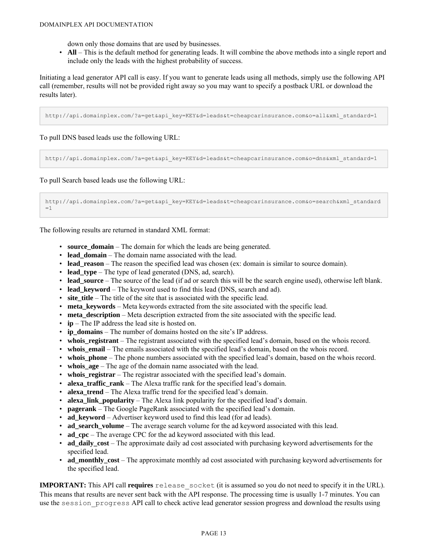down only those domains that are used by businesses.

• **All** – This is the default method for generating leads. It will combine the above methods into a single report and include only the leads with the highest probability of success.

Initiating a lead generator API call is easy. If you want to generate leads using all methods, simply use the following API call (remember, results will not be provided right away so you may want to specify a postback URL or download the results later).

http://api.domainplex.com/?a=get&api\_key=KEY&d=leads&t=cheapcarinsurance.com&o=all&xml\_standard=1

To pull DNS based leads use the following URL:

http://api.domainplex.com/?a=get&api\_key=KEY&d=leads&t=cheapcarinsurance.com&o=dns&xml\_standard=1

To pull Search based leads use the following URL:

http://api.domainplex.com/?a=get&api\_key=KEY&d=leads&t=cheapcarinsurance.com&o=search&xml\_standard  $=1$ 

The following results are returned in standard XML format:

- **source domain** The domain for which the leads are being generated.
- **lead domain** The domain name associated with the lead.
- **lead reason** The reason the specified lead was chosen (ex: domain is similar to source domain).
- **lead\_type** The type of lead generated (DNS, ad, search).
- **lead\_source** The source of the lead (if ad or search this will be the search engine used), otherwise left blank.
- **lead keyword** The keyword used to find this lead (DNS, search and ad).
- **site title** The title of the site that is associated with the specific lead.
- **meta\_keywords** Meta keywords extracted from the site associated with the specific lead.
- **meta\_description** Meta description extracted from the site associated with the specific lead.
- **ip** The IP address the lead site is hosted on.
- **ip domains** The number of domains hosted on the site's IP address.
- whois registrant The registrant associated with the specified lead's domain, based on the whois record.
- **whois\_email** The emails associated with the specified lead's domain, based on the whois record.
- whois\_phone The phone numbers associated with the specified lead's domain, based on the whois record.
- whois  $age$  The age of the domain name associated with the lead.
- whois registrar The registrar associated with the specified lead's domain.
- **alexa traffic rank** The Alexa traffic rank for the specified lead's domain.
- **alexa\_trend** The Alexa traffic trend for the specified lead's domain.
- **alexa link popularity** The Alexa link popularity for the specified lead's domain.
- **pagerank** The Google PageRank associated with the specified lead's domain.
- **ad\_keyword** Advertiser keyword used to find this lead (for ad leads).
- **ad search volume** The average search volume for the ad keyword associated with this lead.
- **ad\_cpc** The average CPC for the ad keyword associated with this lead.
- **ad\_daily\_cost** The approximate daily ad cost associated with purchasing keyword advertisements for the specified lead.
- **ad\_monthly\_cost** The approximate monthly ad cost associated with purchasing keyword advertisements for the specified lead.

**IMPORTANT:** This API call **requires** release\_socket (it is assumed so you do not need to specify it in the URL). This means that results are never sent back with the API response. The processing time is usually 1-7 minutes. You can use the session progress API call to check active lead generator session progress and download the results using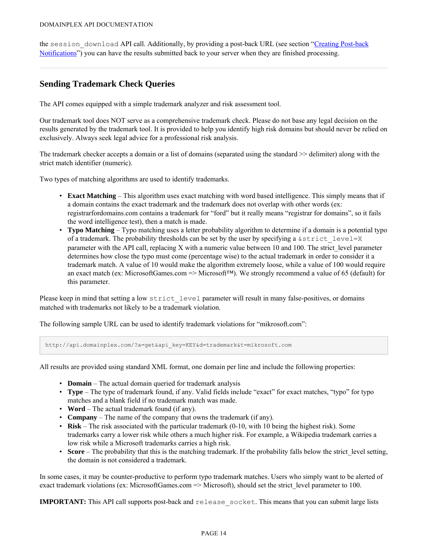the session download API call. Additionally, by providing a post-back URL (see section "[Creating Post-back](#page-26-2) [Notifications"](#page-26-2)) you can have the results submitted back to your server when they are finished processing.

## <span id="page-15-0"></span>**Sending Trademark Check Queries**

The API comes equipped with a simple trademark analyzer and risk assessment tool.

Our trademark tool does NOT serve as a comprehensive trademark check. Please do not base any legal decision on the results generated by the trademark tool. It is provided to help you identify high risk domains but should never be relied on exclusively. Always seek legal advice for a professional risk analysis.

The trademark checker accepts a domain or a list of domains (separated using the standard >> delimiter) along with the strict match identifier (numeric).

Two types of matching algorithms are used to identify trademarks.

- **Exact Matching** This algorithm uses exact matching with word based intelligence. This simply means that if a domain contains the exact trademark and the trademark does not overlap with other words (ex: registrarfordomains.com contains a trademark for "ford" but it really means "registrar for domains", so it fails the word intelligence test), then a match is made.
- **Typo Matching** Typo matching uses a letter probability algorithm to determine if a domain is a potential typo of a trademark. The probability thresholds can be set by the user by specifying a  $\&$ strict level=X parameter with the API call, replacing X with a numeric value between 10 and 100. The strict level parameter determines how close the typo must come (percentage wise) to the actual trademark in order to consider it a trademark match. A value of 10 would make the algorithm extremely loose, while a value of 100 would require an exact match (ex: MicrosoftGames.com => Microsoft™). We strongly recommend a value of 65 (default) for this parameter.

Please keep in mind that setting a low strict level parameter will result in many false-positives, or domains matched with trademarks not likely to be a trademark violation.

The following sample URL can be used to identify trademark violations for "mikrosoft.com":

http://api.domainplex.com/?a=get&api\_key=KEY&d=trademark&t=mikrosoft.com

All results are provided using standard XML format, one domain per line and include the following properties:

- **Domain** The actual domain queried for trademark analysis
- **Type** The type of trademark found, if any. Valid fields include "exact" for exact matches, "typo" for typo matches and a blank field if no trademark match was made.
- **Word** The actual trademark found (if any).
- **Company** The name of the company that owns the trademark (if any).
- **Risk** The risk associated with the particular trademark (0-10, with 10 being the highest risk). Some trademarks carry a lower risk while others a much higher risk. For example, a Wikipedia trademark carries a low risk while a Microsoft trademarks carries a high risk.
- **Score** The probability that this is the matching trademark. If the probability falls below the strict level setting, the domain is not considered a trademark.

In some cases, it may be counter-productive to perform typo trademark matches. Users who simply want to be alerted of exact trademark violations (ex: MicrosoftGames.com => Microsoft), should set the strict level parameter to 100.

**IMPORTANT:** This API call supports post-back and release\_socket. This means that you can submit large lists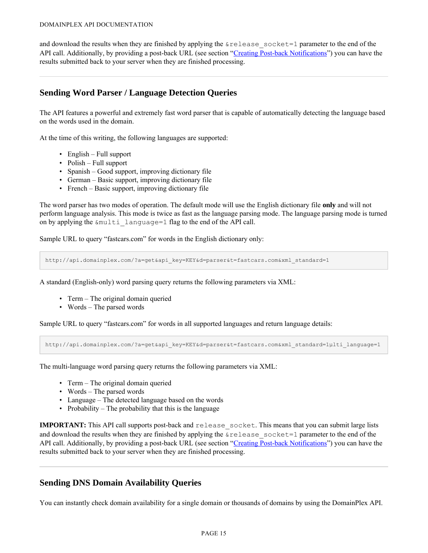and download the results when they are finished by applying the  $\&\text{release socket}=1$  parameter to the end of the API call. Additionally, by providing a post-back URL (see section ["Creating Post-back Notifications](#page-26-2)") you can have the results submitted back to your server when they are finished processing.

## <span id="page-16-0"></span>**Sending Word Parser / Language Detection Queries**

The API features a powerful and extremely fast word parser that is capable of automatically detecting the language based on the words used in the domain.

At the time of this writing, the following languages are supported:

- English Full support
- Polish Full support
- Spanish Good support, improving dictionary file
- German Basic support, improving dictionary file
- French Basic support, improving dictionary file

The word parser has two modes of operation. The default mode will use the English dictionary file **only** and will not perform language analysis. This mode is twice as fast as the language parsing mode. The language parsing mode is turned on by applying the &multi\_language=1 flag to the end of the API call.

Sample URL to query "fastcars.com" for words in the English dictionary only:

http://api.domainplex.com/?a=get&api\_key=KEY&d=parser&t=fastcars.com&xml\_standard=1

A standard (English-only) word parsing query returns the following parameters via XML:

- Term The original domain queried
- Words The parsed words

Sample URL to query "fastcars.com" for words in all supported languages and return language details:

http://api.domainplex.com/?a=get&api\_key=KEY&d=parser&t=fastcars.com&xml\_standard=1μlti\_language=1

The multi-language word parsing query returns the following parameters via XML:

- Term The original domain queried
- Words The parsed words
- Language The detected language based on the words
- Probability The probability that this is the language

**IMPORTANT:** This API call supports post-back and release socket. This means that you can submit large lists and download the results when they are finished by applying the  $\&$ release socket=1 parameter to the end of the API call. Additionally, by providing a post-back URL (see section ["Creating Post-back Notifications](#page-26-2)") you can have the results submitted back to your server when they are finished processing.

## <span id="page-16-1"></span>**Sending DNS Domain Availability Queries**

You can instantly check domain availability for a single domain or thousands of domains by using the DomainPlex API.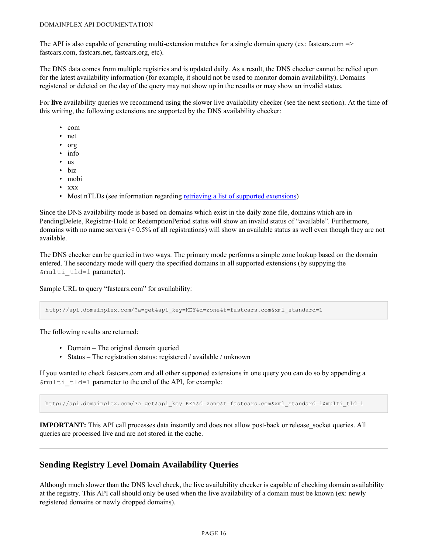The API is also capable of generating multi-extension matches for a single domain query (ex: fastcars.com  $\Rightarrow$ fastcars.com, fastcars.net, fastcars.org, etc).

The DNS data comes from multiple registries and is updated daily. As a result, the DNS checker cannot be relied upon for the latest availability information (for example, it should not be used to monitor domain availability). Domains registered or deleted on the day of the query may not show up in the results or may show an invalid status.

For **live** availability queries we recommend using the slower live availability checker (see the next section). At the time of this writing, the following extensions are supported by the DNS availability checker:

- com
- net
- org
- info
- us
- biz
- mobi
- xxx

• Most nTLDs (see information regarding [retrieving a list of supported extensions](#page-9-0))

Since the DNS availability mode is based on domains which exist in the daily zone file, domains which are in PendingDelete, Registrar-Hold or RedemptionPeriod status will show an invalid status of "available". Furthermore, domains with no name servers (< 0.5% of all registrations) will show an available status as well even though they are not available.

The DNS checker can be queried in two ways. The primary mode performs a simple zone lookup based on the domain entered. The secondary mode will query the specified domains in all supported extensions (by suppying the &multi\_tld=1 parameter).

Sample URL to query "fastcars.com" for availability:

http://api.domainplex.com/?a=get&api\_key=KEY&d=zone&t=fastcars.com&xml\_standard=1

The following results are returned:

- Domain The original domain queried
- Status The registration status: registered / available / unknown

If you wanted to check fastcars.com and all other supported extensions in one query you can do so by appending a &multi\_tld=1 parameter to the end of the API, for example:

http://api.domainplex.com/?a=get&api\_key=KEY&d=zone&t=fastcars.com&xml\_standard=1&multi\_tld=1

**IMPORTANT:** This API call processes data instantly and does not allow post-back or release socket queries. All queries are processed live and are not stored in the cache.

## <span id="page-17-0"></span>**Sending Registry Level Domain Availability Queries**

Although much slower than the DNS level check, the live availability checker is capable of checking domain availability at the registry. This API call should only be used when the live availability of a domain must be known (ex: newly registered domains or newly dropped domains).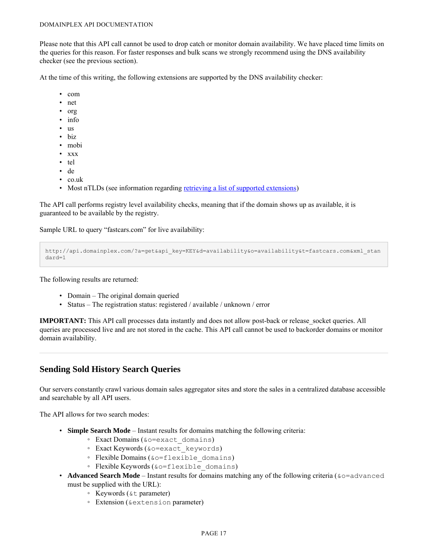Please note that this API call cannot be used to drop catch or monitor domain availability. We have placed time limits on the queries for this reason. For faster responses and bulk scans we strongly recommend using the DNS availability checker (see the previous section).

At the time of this writing, the following extensions are supported by the DNS availability checker:

- com
- net
- org
- info
- us
- biz
- mobi
- xxx
- tel
- de
- co.uk
- Most nTLDs (see information regarding [retrieving a list of supported extensions](#page-9-0))

The API call performs registry level availability checks, meaning that if the domain shows up as available, it is guaranteed to be available by the registry.

Sample URL to query "fastcars.com" for live availability:

```
http://api.domainplex.com/?a=get&api_key=KEY&d=availability&o=availability&t=fastcars.com&xml_stan
dard=1
```
The following results are returned:

- Domain The original domain queried
- Status The registration status: registered / available / unknown / error

**IMPORTANT:** This API call processes data instantly and does not allow post-back or release socket queries. All queries are processed live and are not stored in the cache. This API call cannot be used to backorder domains or monitor domain availability.

## <span id="page-18-0"></span>**Sending Sold History Search Queries**

Our servers constantly crawl various domain sales aggregator sites and store the sales in a centralized database accessible and searchable by all API users.

The API allows for two search modes:

- **Simple Search Mode** Instant results for domains matching the following criteria:
	- Exact Domains (&o=exact\_domains)
	- Exact Keywords (&o=exact\_keywords)
	- Flexible Domains (&o=flexible\_domains)
	- Flexible Keywords (&o=flexible\_domains)
- **Advanced Search Mode** Instant results for domains matching any of the following criteria ( $\&\circ$ =advanced must be supplied with the URL):
	- Keywords (&t parameter)
	- Extension (&extension parameter)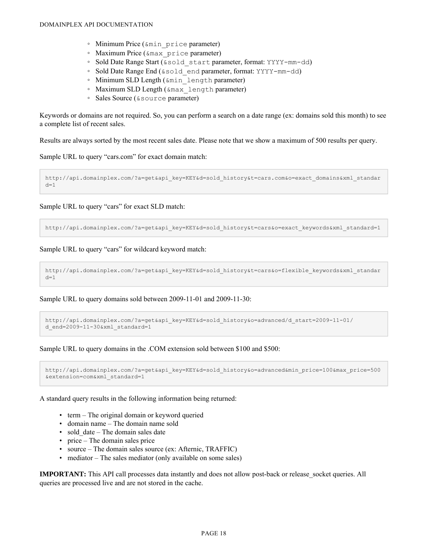- Minimum Price (&min\_price parameter)
- Maximum Price (&max\_price parameter)
- Sold Date Range Start (&sold\_start parameter, format: YYYY-mm-dd)
- Sold Date Range End (&sold\_end parameter, format: YYYY-mm-dd)
- Minimum SLD Length (&min\_length parameter)
- Maximum SLD Length (&max\_length parameter)
- Sales Source (&source parameter)

Keywords or domains are not required. So, you can perform a search on a date range (ex: domains sold this month) to see a complete list of recent sales.

Results are always sorted by the most recent sales date. Please note that we show a maximum of 500 results per query.

Sample URL to query "cars.com" for exact domain match:

http://api.domainplex.com/?a=get&api\_key=KEY&d=sold history&t=cars.com&o=exact domains&xml standar  $d=1$ 

Sample URL to query "cars" for exact SLD match:

http://api.domainplex.com/?a=get&api key=KEY&d=sold history&t=cars&o=exact keywords&xml standard=1

Sample URL to query "cars" for wildcard keyword match:

```
http://api.domainplex.com/?a=get&api_key=KEY&d=sold_history&t=cars&o=flexible_keywords&xml_standar
d=1
```
Sample URL to query domains sold between 2009-11-01 and 2009-11-30:

```
http://api.domainplex.com/?a=get&api_key=KEY&d=sold_history&o=advanced/d_start=2009-11-01/
d end=2009-11-30&xml standard=1
```
Sample URL to query domains in the .COM extension sold between \$100 and \$500:

```
http://api.domainplex.com/?a=get&api_key=KEY&d=sold_history&o=advanced&min_price=100&max_price=500
&extension=com&xml_standard=1
```
A standard query results in the following information being returned:

- term The original domain or keyword queried
- domain name The domain name sold
- sold date The domain sales date
- price The domain sales price
- source The domain sales source (ex: Afternic, TRAFFIC)
- mediator The sales mediator (only available on some sales)

**IMPORTANT:** This API call processes data instantly and does not allow post-back or release socket queries. All queries are processed live and are not stored in the cache.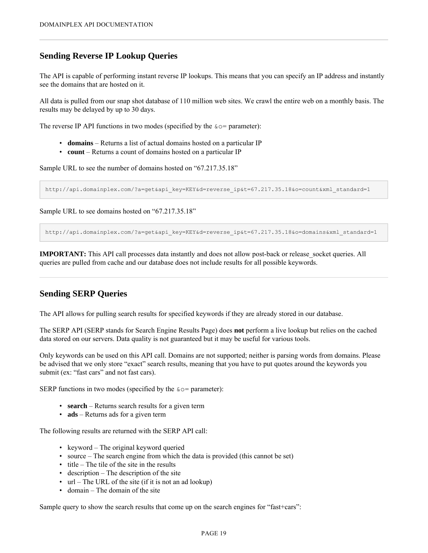## <span id="page-20-0"></span>**Sending Reverse IP Lookup Queries**

The API is capable of performing instant reverse IP lookups. This means that you can specify an IP address and instantly see the domains that are hosted on it.

All data is pulled from our snap shot database of 110 million web sites. We crawl the entire web on a monthly basis. The results may be delayed by up to 30 days.

The reverse IP API functions in two modes (specified by the  $\& \circ =$  parameter):

- **domains** Returns a list of actual domains hosted on a particular IP
- **count** Returns a count of domains hosted on a particular IP

Sample URL to see the number of domains hosted on "67.217.35.18"

http://api.domainplex.com/?a=get&api\_key=KEY&d=reverse\_ip&t=67.217.35.18&o=count&xml\_standard=1

Sample URL to see domains hosted on "67.217.35.18"

http://api.domainplex.com/?a=qet&api key=KEY&d=reverse\_ip&t=67.217.35.18&o=domains&xml\_standard=1

**IMPORTANT:** This API call processes data instantly and does not allow post-back or release socket queries. All queries are pulled from cache and our database does not include results for all possible keywords.

## <span id="page-20-1"></span>**Sending SERP Queries**

The API allows for pulling search results for specified keywords if they are already stored in our database.

The SERP API (SERP stands for Search Engine Results Page) does **not** perform a live lookup but relies on the cached data stored on our servers. Data quality is not guaranteed but it may be useful for various tools.

Only keywords can be used on this API call. Domains are not supported; neither is parsing words from domains. Please be advised that we only store "exact" search results, meaning that you have to put quotes around the keywords you submit (ex: "fast cars" and not fast cars).

SERP functions in two modes (specified by the  $\& \circ =$  parameter):

- **search** Returns search results for a given term
- **ads** Returns ads for a given term

The following results are returned with the SERP API call:

- keyword The original keyword queried
- source The search engine from which the data is provided (this cannot be set)
- title The tile of the site in the results
- description The description of the site
- url The URL of the site (if it is not an ad lookup)
- domain The domain of the site

Sample query to show the search results that come up on the search engines for "fast+cars":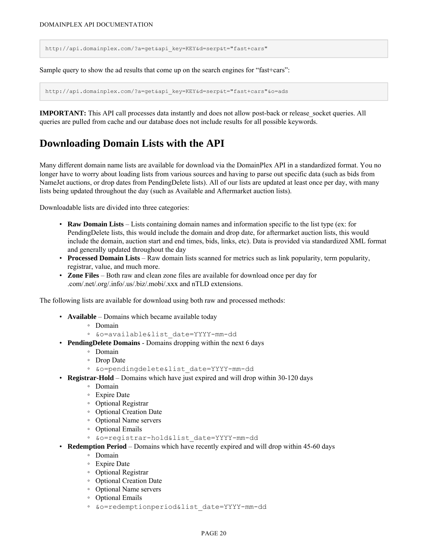http://api.domainplex.com/?a=get&api\_key=KEY&d=serp&t="fast+cars"

Sample query to show the ad results that come up on the search engines for "fast+cars":

http://api.domainplex.com/?a=get&api\_key=KEY&d=serp&t="fast+cars"&o=ads

**IMPORTANT:** This API call processes data instantly and does not allow post-back or release socket queries. All queries are pulled from cache and our database does not include results for all possible keywords.

## <span id="page-21-0"></span>**Downloading Domain Lists with the API**

Many different domain name lists are available for download via the DomainPlex API in a standardized format. You no longer have to worry about loading lists from various sources and having to parse out specific data (such as bids from NameJet auctions, or drop dates from PendingDelete lists). All of our lists are updated at least once per day, with many lists being updated throughout the day (such as Available and Aftermarket auction lists).

Downloadable lists are divided into three categories:

- **Raw Domain Lists** Lists containing domain names and information specific to the list type (ex: for PendingDelete lists, this would include the domain and drop date, for aftermarket auction lists, this would include the domain, auction start and end times, bids, links, etc). Data is provided via standardized XML format and generally updated throughout the day
- **Processed Domain Lists** Raw domain lists scanned for metrics such as link popularity, term popularity, registrar, value, and much more.
- **Zone Files** Both raw and clean zone files are available for download once per day for .com/.net/.org/.info/.us/.biz/.mobi/.xxx and nTLD extensions.

The following lists are available for download using both raw and processed methods:

- **Available** Domains which became available today
	- Domain
	- &o=available&list\_date=YYYY-mm-dd
- **PendingDelete Domains** Domains dropping within the next 6 days
	- Domain
	- Drop Date
	- &o=pendingdelete&list\_date=YYYY-mm-dd
- **Registrar-Hold** Domains which have just expired and will drop within 30-120 days
	- Domain
	- Expire Date
	- Optional Registrar
	- Optional Creation Date
	- Optional Name servers
	- Optional Emails
	- &o=registrar-hold&list\_date=YYYY-mm-dd
- **Redemption Period** Domains which have recently expired and will drop within 45-60 days
	- Domain
	- Expire Date
	- Optional Registrar
	- Optional Creation Date
	- Optional Name servers
	- Optional Emails
	- &o=redemptionperiod&list\_date=YYYY-mm-dd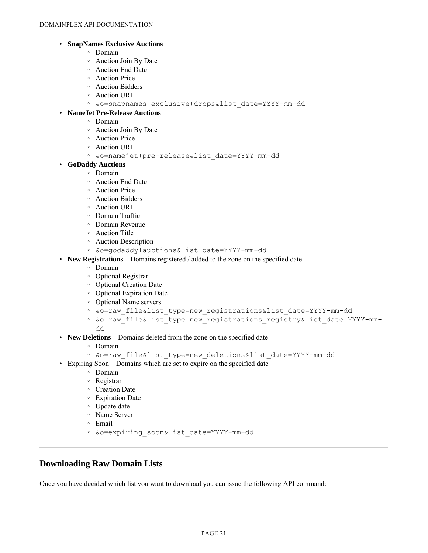#### • **SnapNames Exclusive Auctions**

- Domain
- Auction Join By Date
- Auction End Date
- Auction Price
- Auction Bidders
- Auction URL
- &o=snapnames+exclusive+drops&list\_date=YYYY-mm-dd

#### • **NameJet Pre-Release Auctions**

- Domain
- Auction Join By Date
- Auction Price
- Auction URL
- &o=namejet+pre-release&list\_date=YYYY-mm-dd
- **GoDaddy Auctions**
	- Domain
	- Auction End Date
	- Auction Price
	- Auction Bidders
	- Auction URL
	- Domain Traffic
	- Domain Revenue
	- Auction Title
	- Auction Description
	- &o=godaddy+auctions&list\_date=YYYY-mm-dd
- **New Registrations** Domains registered / added to the zone on the specified date
	- Domain
	- Optional Registrar
	- Optional Creation Date
	- Optional Expiration Date
	- Optional Name servers
	- &o=raw\_file&list\_type=new\_registrations&list\_date=YYYY-mm-dd
	- &o=raw\_file&list\_type=new\_registrations\_registry&list\_date=YYYY-mmdd
- **New Deletions** Domains deleted from the zone on the specified date
	- Domain
	- &o=raw\_file&list\_type=new\_deletions&list\_date=YYYY-mm-dd
- Expiring Soon Domains which are set to expire on the specified date
	- Domain
	- Registrar
	- Creation Date
	- Expiration Date
	- Update date
	- Name Server
	- Email
	- &o=expiring\_soon&list\_date=YYYY-mm-dd

## <span id="page-22-0"></span>**Downloading Raw Domain Lists**

Once you have decided which list you want to download you can issue the following API command: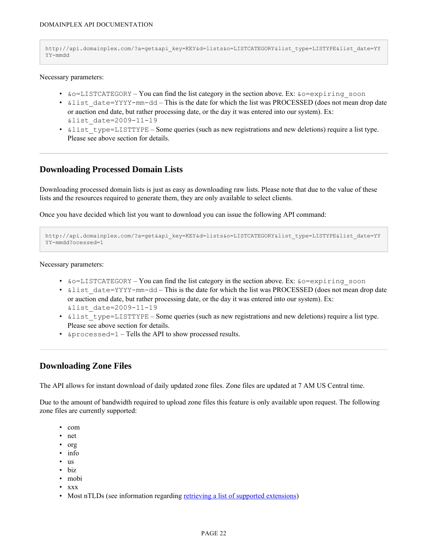```
http://api.domainplex.com/?a=get&api_key=KEY&d=lists&o=LISTCATEGORY&list_type=LISTYPE&list_date=YY
YY-mmdd
```
Necessary parameters:

- $\&o=LISTCATEGORY You can find the list category in the section above. Ex:  $\&o=expiring$  soon$
- $\&$ list date=YYYY-mm-dd This is the date for which the list was PROCESSED (does not mean drop date or auction end date, but rather processing date, or the day it was entered into our system). Ex: &list\_date=2009-11-19
- & list type=LISTTYPE Some queries (such as new registrations and new deletions) require a list type. Please see above section for details.

## <span id="page-23-0"></span>**Downloading Processed Domain Lists**

Downloading processed domain lists is just as easy as downloading raw lists. Please note that due to the value of these lists and the resources required to generate them, they are only available to select clients.

Once you have decided which list you want to download you can issue the following API command:

```
http://api.domainplex.com/?a=get&api_key=KEY&d=lists&o=LISTCATEGORY&list_type=LISTYPE&list_date=YY
YY-mmdd?ocessed=1
```
Necessary parameters:

- $\&o=LISTCATEGORITHM You can find the list category in the section above. Ex:  $\&o=expiring$  soon$
- $\&$ list date=YYYY-mm-dd This is the date for which the list was PROCESSED (does not mean drop date or auction end date, but rather processing date, or the day it was entered into our system). Ex: &list\_date=2009-11-19
- $\&$ list type=LISTTYPE Some queries (such as new registrations and new deletions) require a list type. Please see above section for details.
- &processed=1 Tells the API to show processed results.

## <span id="page-23-1"></span>**Downloading Zone Files**

The API allows for instant download of daily updated zone files. Zone files are updated at 7 AM US Central time.

Due to the amount of bandwidth required to upload zone files this feature is only available upon request. The following zone files are currently supported:

- com
- net
- org
- info
- us
- biz
- mobi
- xxx
- Most nTLDs (see information regarding [retrieving a list of supported extensions](#page-9-0))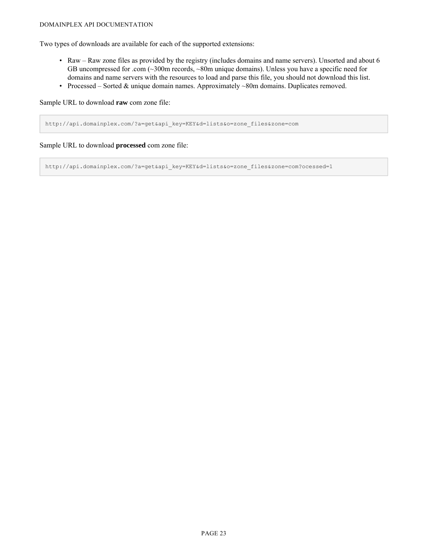#### DOMAINPLEX API DOCUMENTATION

Two types of downloads are available for each of the supported extensions:

- Raw Raw zone files as provided by the registry (includes domains and name servers). Unsorted and about 6 GB uncompressed for .com (~300m records, ~80m unique domains). Unless you have a specific need for domains and name servers with the resources to load and parse this file, you should not download this list.
- Processed Sorted & unique domain names. Approximately ~80m domains. Duplicates removed.

Sample URL to download **raw** com zone file:

http://api.domainplex.com/?a=get&api\_key=KEY&d=lists&o=zone\_files&zone=com

Sample URL to download **processed** com zone file:

http://api.domainplex.com/?a=get&api\_key=KEY&d=lists&o=zone\_files&zone=com?ocessed=1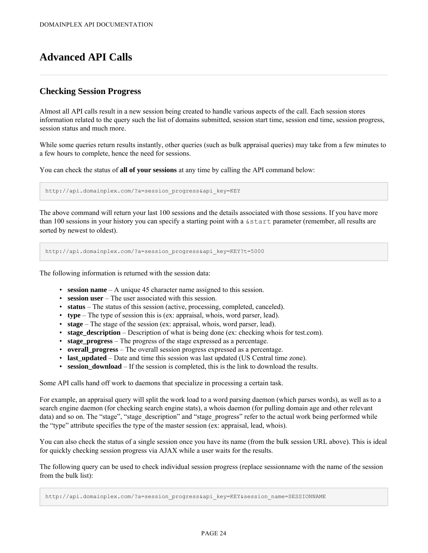# <span id="page-25-0"></span>**Advanced API Calls**

## <span id="page-25-1"></span>**Checking Session Progress**

Almost all API calls result in a new session being created to handle various aspects of the call. Each session stores information related to the query such the list of domains submitted, session start time, session end time, session progress, session status and much more.

While some queries return results instantly, other queries (such as bulk appraisal queries) may take from a few minutes to a few hours to complete, hence the need for sessions.

You can check the status of **all of your sessions** at any time by calling the API command below:

http://api.domainplex.com/?a=session\_progress&api\_key=KEY

The above command will return your last 100 sessions and the details associated with those sessions. If you have more than 100 sessions in your history you can specify a starting point with a &start parameter (remember, all results are sorted by newest to oldest).

http://api.domainplex.com/?a=session\_progress&api\_key=KEY?t=5000

The following information is returned with the session data:

- **session name** A unique 45 character name assigned to this session.
- **session user** The user associated with this session.
- **status** The status of this session (active, processing, completed, canceled).
- **type** The type of session this is (ex: appraisal, whois, word parser, lead).
- **stage** The stage of the session (ex: appraisal, whois, word parser, lead).
- **stage\_description** Description of what is being done (ex: checking whois for test.com).
- **stage\_progress** The progress of the stage expressed as a percentage.
- **overall\_progress** The overall session progress expressed as a percentage.
- **last updated** Date and time this session was last updated (US Central time zone).
- **session\_download** If the session is completed, this is the link to download the results.

Some API calls hand off work to daemons that specialize in processing a certain task.

For example, an appraisal query will split the work load to a word parsing daemon (which parses words), as well as to a search engine daemon (for checking search engine stats), a whois daemon (for pulling domain age and other relevant data) and so on. The "stage", "stage description" and "stage progress" refer to the actual work being performed while the "type" attribute specifies the type of the master session (ex: appraisal, lead, whois).

You can also check the status of a single session once you have its name (from the bulk session URL above). This is ideal for quickly checking session progress via AJAX while a user waits for the results.

The following query can be used to check individual session progress (replace sessionname with the name of the session from the bulk list):

http://api.domainplex.com/?a=session\_progress&api\_key=KEY&session\_name=SESSIONNAME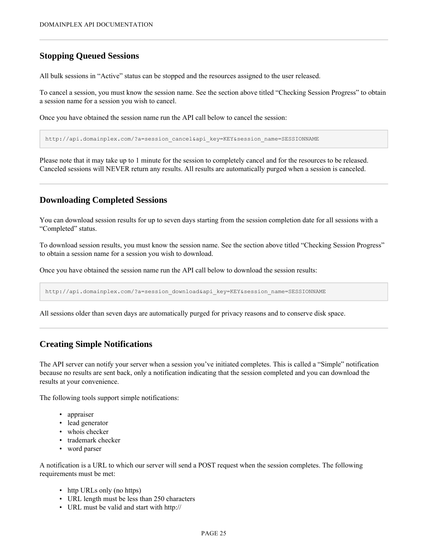## <span id="page-26-0"></span>**Stopping Queued Sessions**

All bulk sessions in "Active" status can be stopped and the resources assigned to the user released.

To cancel a session, you must know the session name. See the section above titled "Checking Session Progress" to obtain a session name for a session you wish to cancel.

Once you have obtained the session name run the API call below to cancel the session:

http://api.domainplex.com/?a=session\_cancel&api\_key=KEY&session\_name=SESSIONNAME

Please note that it may take up to 1 minute for the session to completely cancel and for the resources to be released. Canceled sessions will NEVER return any results. All results are automatically purged when a session is canceled.

## <span id="page-26-1"></span>**Downloading Completed Sessions**

You can download session results for up to seven days starting from the session completion date for all sessions with a "Completed" status.

To download session results, you must know the session name. See the section above titled "Checking Session Progress" to obtain a session name for a session you wish to download.

Once you have obtained the session name run the API call below to download the session results:

http://api.domainplex.com/?a=session\_download&api\_key=KEY&session\_name=SESSIONNAME

All sessions older than seven days are automatically purged for privacy reasons and to conserve disk space.

## <span id="page-26-2"></span>**Creating Simple Notifications**

The API server can notify your server when a session you've initiated completes. This is called a "Simple" notification because no results are sent back, only a notification indicating that the session completed and you can download the results at your convenience.

The following tools support simple notifications:

- appraiser
- lead generator
- whois checker
- trademark checker
- word parser

A notification is a URL to which our server will send a POST request when the session completes. The following requirements must be met:

- http URLs only (no https)
- URL length must be less than 250 characters
- URL must be valid and start with http://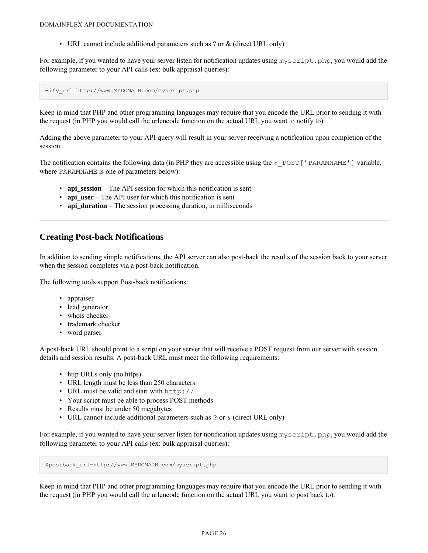• URL cannot include additional parameters such as ? or & (direct URL only)

For example, if you wanted to have your server listen for notification updates using myscript.php, you would add the following parameter to your API calls (ex: bulk appraisal queries):

¬ify\_url=http://www.MYDOMAIN.com/myscript.php

Keep in mind that PHP and other programming languages may require that you encode the URL prior to sending it with the request (in PHP you would call the urlencode function on the actual URL you want to notify to).

Adding the above parameter to your API query will result in your server receiving a notification upon completion of the session.

The notification contains the following data (in PHP they are accessible using the  $\frac{1}{2}$  POST['PARAMNAME'] variable, where PARAMNAME is one of parameters below):

- **api\_session** The API session for which this notification is sent
- **api** user The API user for which this notification is sent
- **api\_duration** The session processing duration, in milliseconds

## <span id="page-27-0"></span>**Creating Post-back Notifications**

In addition to sending simple notifications, the API server can also post-back the results of the session back to your server when the session completes via a post-back notification.

The following tools support Post-back notifications:

- appraiser
- lead generator
- whois checker
- trademark checker
- word parser

A post-back URL should point to a script on your server that will receive a POST request from our server with session details and session results. A post-back URL must meet the following requirements:

- http URLs only (no https)
- URL length must be less than 250 characters
- URL must be valid and start with http://
- Your script must be able to process POST methods
- Results must be under 50 megabytes
- URL cannot include additional parameters such as ? or & (direct URL only)

For example, if you wanted to have your server listen for notification updates using myscript.php, you would add the following parameter to your API calls (ex: bulk appraisal queries):

&postback\_url=http://www.MYDOMAIN.com/myscript.php

Keep in mind that PHP and other programming languages may require that you encode the URL prior to sending it with the request (in PHP you would call the urlencode function on the actual URL you want to post back to).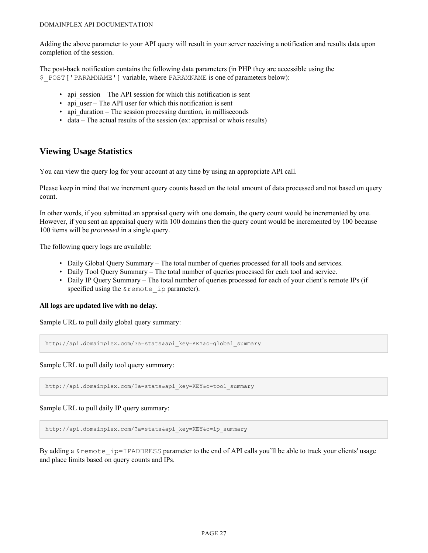Adding the above parameter to your API query will result in your server receiving a notification and results data upon completion of the session.

The post-back notification contains the following data parameters (in PHP they are accessible using the \$\_POST['PARAMNAME'] variable, where PARAMNAME is one of parameters below):

- api session The API session for which this notification is sent
- api user The API user for which this notification is sent
- api\_duration The session processing duration, in milliseconds
- data The actual results of the session (ex: appraisal or whois results)

## <span id="page-28-0"></span>**Viewing Usage Statistics**

You can view the query log for your account at any time by using an appropriate API call.

Please keep in mind that we increment query counts based on the total amount of data processed and not based on query count.

In other words, if you submitted an appraisal query with one domain, the query count would be incremented by one. However, if you sent an appraisal query with 100 domains then the query count would be incremented by 100 because 100 items will be *processed* in a single query.

The following query logs are available:

- Daily Global Query Summary The total number of queries processed for all tools and services.
- Daily Tool Query Summary The total number of queries processed for each tool and service.
- Daily IP Query Summary The total number of queries processed for each of your client's remote IPs (if specified using the  $\&$  remote ip parameter).

#### **All logs are updated live with no delay.**

Sample URL to pull daily global query summary:

http://api.domainplex.com/?a=stats&api\_key=KEY&o=global\_summary

Sample URL to pull daily tool query summary:

http://api.domainplex.com/?a=stats&api\_key=KEY&o=tool\_summary

Sample URL to pull daily IP query summary:

http://api.domainplex.com/?a=stats&api\_key=KEY&o=ip\_summary

By adding a &remote ip=IPADDRESS parameter to the end of API calls you'll be able to track your clients' usage and place limits based on query counts and IPs.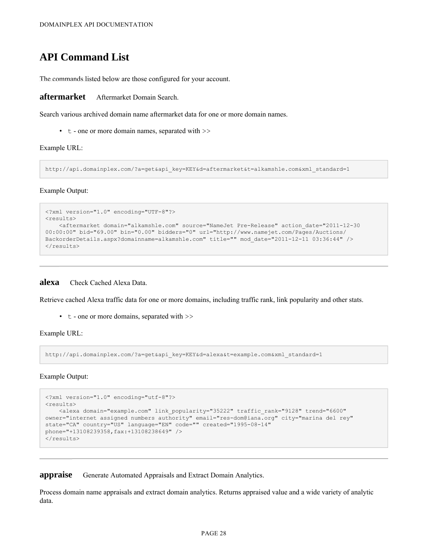## <span id="page-29-0"></span>**API Command List**

The commands listed below are those configured for your account.

<span id="page-29-1"></span>**aftermarket** Aftermarket Domain Search.

Search various archived domain name aftermarket data for one or more domain names.

• t - one or more domain names, separated with >>

Example URL:

http://api.domainplex.com/?a=get&api\_key=KEY&d=aftermarket&t=alkamshle.com&xml\_standard=1

Example Output:

```
<?xml version="1.0" encoding="UTF-8"?>
<results>
    <aftermarket domain="alkamshle.com" source="NameJet Pre-Release" action_date="2011-12-30
00:00:00" bid="69.00" bin="0.00" bidders="0" url="http://www.namejet.com/Pages/Auctions/
BackorderDetails.aspx?domainname=alkamshle.com" title="" mod_date="2011-12-11 03:36:44" />
\langleresults>
```
<span id="page-29-2"></span>**alexa** Check Cached Alexa Data.

Retrieve cached Alexa traffic data for one or more domains, including traffic rank, link popularity and other stats.

• t - one or more domains, separated with >>

Example URL:

http://api.domainplex.com/?a=get&api\_key=KEY&d=alexa&t=example.com&xml\_standard=1

Example Output:

```
<?xml version="1.0" encoding="utf-8"?>
<results>
   <alexa domain="example.com" link_popularity="35222" traffic_rank="9128" trend="6600"
owner="internet assigned numbers authority" email="res-dom@iana.org" city="marina del rey"
state="CA" country="US" language="EN" code="" created="1995-08-14"
phone="+13108239358,fax:+13108238649" />
\langle/results>
```
<span id="page-29-3"></span>**appraise** Generate Automated Appraisals and Extract Domain Analytics.

Process domain name appraisals and extract domain analytics. Returns appraised value and a wide variety of analytic data.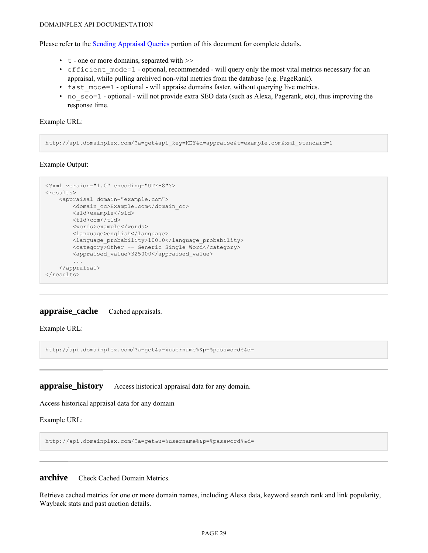#### DOMAINPLEX API DOCUMENTATION

Please refer to the [Sending Appraisal Queries](#page-10-1) portion of this document for complete details.

- t one or more domains, separated with >>
- efficient mode=1 optional, recommended will query only the most vital metrics necessary for an appraisal, while pulling archived non-vital metrics from the database (e.g. PageRank).
- fast mode=1 optional will appraise domains faster, without querying live metrics.
- no  $seo=1$  optional will not provide extra SEO data (such as Alexa, Pagerank, etc), thus improving the response time.

Example URL:

http://api.domainplex.com/?a=get&api\_key=KEY&d=appraise&t=example.com&xml\_standard=1

Example Output:

```
<?xml version="1.0" encoding="UTF-8"?>
<results>
   <appraisal domain="example.com">
        <domain_cc>Example.com</domain_cc>
        <sld>example</sld>
       <tld>com</tld>
       <words>example</words>
       <language>english</language>
       <language_probability>100.0</language_probability>
        <category>Other -- Generic Single Word</category>
        <appraised_value>325000</appraised_value>
        ...
   </appraisal>
\langle/results>
```
### <span id="page-30-0"></span>**appraise\_cache** Cached appraisals.

Example URL:

http://api.domainplex.com/?a=get&u=%username%&p=%password%&d=

<span id="page-30-1"></span>**appraise\_history** Access historical appraisal data for any domain.

Access historical appraisal data for any domain

Example URL:

http://api.domainplex.com/?a=get&u=%username%&p=%password%&d=

<span id="page-30-2"></span>**archive** Check Cached Domain Metrics.

Retrieve cached metrics for one or more domain names, including Alexa data, keyword search rank and link popularity, Wayback stats and past auction details.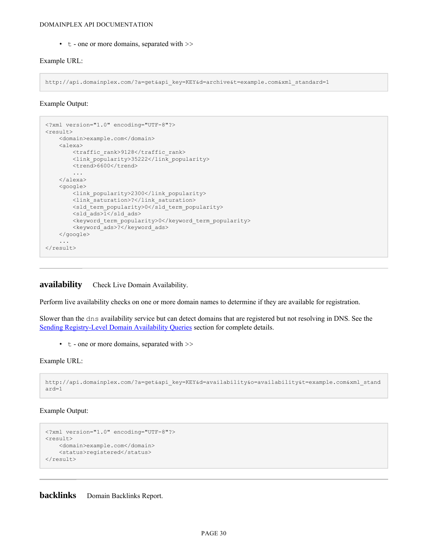• t - one or more domains, separated with  $\gg$ 

#### Example URL:

http://api.domainplex.com/?a=get&api\_key=KEY&d=archive&t=example.com&xml\_standard=1

Example Output:

```
<?xml version="1.0" encoding="UTF-8"?>
<result>
   <domain>example.com</domain>
   <alexa>
        <traffic_rank>9128</traffic_rank>
        <link_popularity>35222</link_popularity>
        <trend>6600</trend>
        ...
   </alexa>
    <google>
       <link_popularity>2300</link_popularity>
       <link_saturation>?</link_saturation>
       <sld_term_popularity>0</sld_term_popularity>
       <sld_ads>1</sld_ads>
        <keyword_term_popularity>0</keyword_term_popularity>
        <keyword_ads>?</keyword_ads>
   </google>
    ...
</result>
```
## <span id="page-31-0"></span>**availability** Check Live Domain Availability.

Perform live availability checks on one or more domain names to determine if they are available for registration.

Slower than the dns availability service but can detect domains that are registered but not resolving in DNS. See the [Sending Registry-Level Domain Availability Queries](#page-17-0) section for complete details.

• t - one or more domains, separated with >>

Example URL:

```
http://api.domainplex.com/?a=get&api_key=KEY&d=availability&o=availability&t=example.com&xml_stand
ard=1
```
Example Output:

```
<?xml version="1.0" encoding="UTF-8"?>
<result>
   <domain>example.com</domain>
   <status>registered</status>
\langleresult>
```
<span id="page-31-1"></span>**backlinks** Domain Backlinks Report.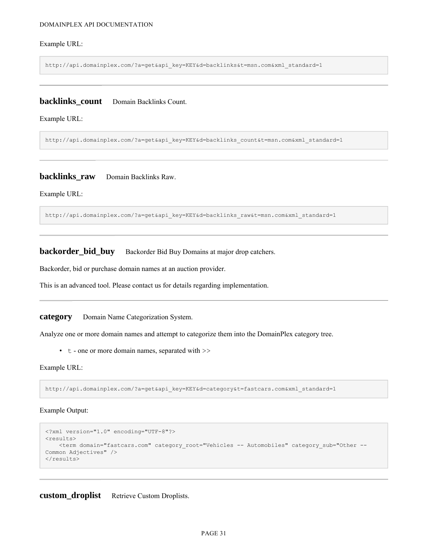#### DOMAINPLEX API DOCUMENTATION

#### Example URL:

http://api.domainplex.com/?a=get&api\_key=KEY&d=backlinks&t=msn.com&xml\_standard=1

## <span id="page-32-0"></span>**backlinks** count Domain Backlinks Count.

Example URL:

http://api.domainplex.com/?a=get&api\_key=KEY&d=backlinks\_count&t=msn.com&xml\_standard=1

#### <span id="page-32-1"></span>**backlinks\_raw** Domain Backlinks Raw.

Example URL:

http://api.domainplex.com/?a=get&api\_key=KEY&d=backlinks\_raw&t=msn.com&xml\_standard=1

<span id="page-32-2"></span>**backorder\_bid\_buy** Backorder Bid Buy Domains at major drop catchers.

Backorder, bid or purchase domain names at an auction provider.

This is an advanced tool. Please contact us for details regarding implementation.

<span id="page-32-3"></span>**category** Domain Name Categorization System.

Analyze one or more domain names and attempt to categorize them into the DomainPlex category tree.

• t - one or more domain names, separated with >>

Example URL:

http://api.domainplex.com/?a=get&api\_key=KEY&d=category&t=fastcars.com&xml\_standard=1

#### Example Output:

```
<?xml version="1.0" encoding="UTF-8"?>
<results>
   <term domain="fastcars.com" category_root="Vehicles -- Automobiles" category_sub="Other --
Common Adjectives" />
</results>
```
<span id="page-32-4"></span>**custom\_droplist** Retrieve Custom Droplists.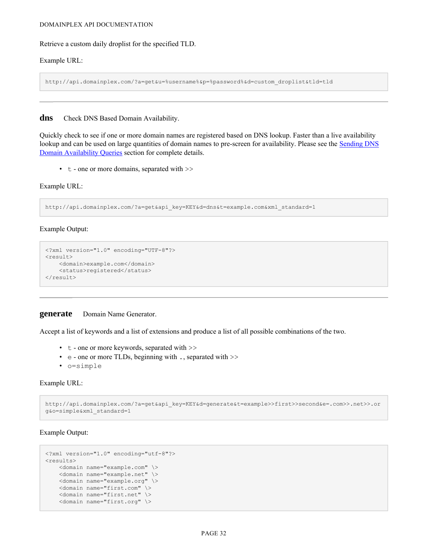#### DOMAINPLEX API DOCUMENTATION

Retrieve a custom daily droplist for the specified TLD.

#### Example URL:

http://api.domainplex.com/?a=get&u=%username%&p=%password%&d=custom\_droplist&tld=tld

#### <span id="page-33-0"></span>**dns** Check DNS Based Domain Availability.

Quickly check to see if one or more domain names are registered based on DNS lookup. Faster than a live availability lookup and can be used on large quantities of domain names to pre-screen for availability. Please see the [Sending DNS](#page-16-1) [Domain Availability Queries](#page-16-1) section for complete details.

• t - one or more domains, separated with >>

#### Example URL:

http://api.domainplex.com/?a=get&api\_key=KEY&d=dns&t=example.com&xml\_standard=1

#### Example Output:

```
<?xml version="1.0" encoding="UTF-8"?>
<result>
    <domain>example.com</domain>
    <status>registered</status>
\langle/result>
```
#### <span id="page-33-1"></span>**generate** Domain Name Generator.

Accept a list of keywords and a list of extensions and produce a list of all possible combinations of the two.

- t one or more keywords, separated with  $\gg$
- e one or more TLDs, beginning with ., separated with >>
- o=simple

#### Example URL:

```
http://api.domainplex.com/?a=get&api_key=KEY&d=generate&t=example>>first>>second&e=.com>>.net>>.or
g&o=simple&xml_standard=1
```
Example Output:

```
<?xml version="1.0" encoding="utf-8"?>
<results>
   <domain name="example.com" \>
   <domain name="example.net" \>
   <domain name="example.org" \>
   <domain name="first.com" \>
   <domain name="first.net" \>
   <domain name="first.org" \>
```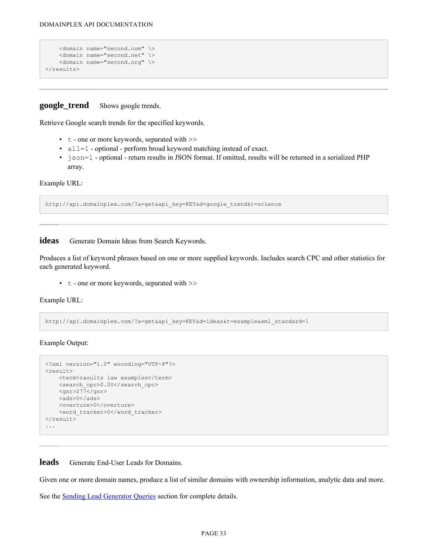```
<domain name="second.com" \>
    <domain name="second.net" \>
    <domain name="second.org" \>
\langleresults>
```
<span id="page-34-0"></span>**google\_trend** Shows google trends.

Retrieve Google search trends for the specified keywords.

- t one or more keywords, separated with  $\gg$
- all=1 optional perform broad keyword matching instead of exact.
- json=1 optional return results in JSON format. If omitted, results will be returned in a serialized PHP array.

Example URL:

http://api.domainplex.com/?a=get&api\_key=KEY&d=google\_trend&t=science

<span id="page-34-1"></span>**ideas** Generate Domain Ideas from Search Keywords.

Produces a list of keyword phrases based on one or more supplied keywords. Includes search CPC and other statistics for each generated keyword.

• t - one or more keywords, separated with >>

Example URL:

http://api.domainplex.com/?a=get&api\_key=KEY&d=ideas&t=example&xml\_standard=1

Example Output:

```
<?xml version="1.0" encoding="UTF-8"?>
<result>
    <term>raoults law examples</term>
    <search_cpc>0.00</search_cpc>
    <sub>qsr>277</sub> </gsr></sub>
    <ads>0</ads>
    <overture>0</overture>
    <word_tracker>0</word_tracker>
\langle/result>
...
```
<span id="page-34-2"></span>**leads** Generate End-User Leads for Domains.

Given one or more domain names, produce a list of similar domains with ownership information, analytic data and more.

See the [Sending Lead Generator Queries](#page-13-0) section for complete details.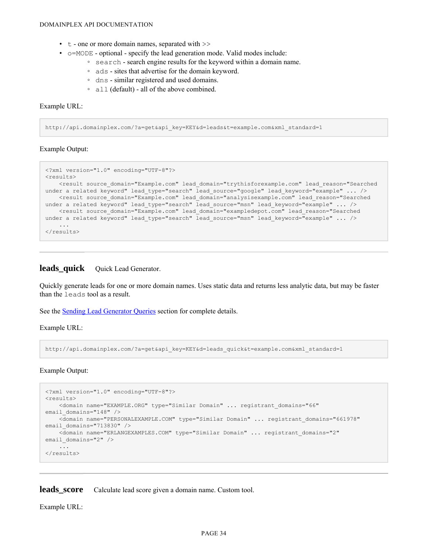- $\cdot$  t one or more domain names, separated with  $\gg$
- o=MODE optional specify the lead generation mode. Valid modes include:
	- search search engine results for the keyword within a domain name.
	- ads sites that advertise for the domain keyword.
	- dns similar registered and used domains.
	- all (default) all of the above combined.

#### Example URL:

http://api.domainplex.com/?a=get&api\_key=KEY&d=leads&t=example.com&xml\_standard=1

#### Example Output:

```
<?xml version="1.0" encoding="UTF-8"?>
<results>
   <result source_domain="Example.com" lead_domain="trythisforexample.com" lead_reason="Searched
under a related keyword" lead type="search" lead source="google" lead keyword="example" ... />
   <result source_domain="Example.com" lead_domain="analysisexample.com" lead_reason="Searched
under a related keyword" lead type="search" lead source="msn" lead keyword="example" ... />
    <result source_domain="Example.com" lead_domain="exampledepot.com" lead_reason="Searched
under a related keyword" lead type="search" lead source="msn" lead keyword="example" ... />
    ...
\langle/results>
```
#### <span id="page-35-0"></span>leads\_quick Quick Lead Generator.

Quickly generate leads for one or more domain names. Uses static data and returns less analytic data, but may be faster than the leads tool as a result.

See the **[Sending Lead Generator Queries](#page-13-0)** section for complete details.

Example URL:

http://api.domainplex.com/?a=get&api\_key=KEY&d=leads\_quick&t=example.com&xml\_standard=1

#### Example Output:

```
<?xml version="1.0" encoding="UTF-8"?>
<results>
   <domain name="EXAMPLE.ORG" type="Similar Domain" ... registrant_domains="66"
email domains="148" />
   <domain name="PERSONALEXAMPLE.COM" type="Similar Domain" ... registrant_domains="661978"
email domains="713830" />
   <domain name="ERLANGEXAMPLES.COM" type="Similar Domain" ... registrant_domains="2"
email domains="2" />
   ...
\langle/results>
```
<span id="page-35-1"></span>leads score Calculate lead score given a domain name. Custom tool.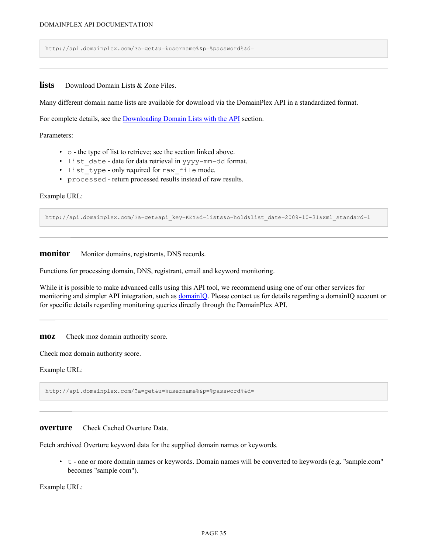http://api.domainplex.com/?a=get&u=%username%&p=%password%&d=

<span id="page-36-0"></span>**lists** Download Domain Lists & Zone Files.

Many different domain name lists are available for download via the DomainPlex API in a standardized format.

For complete details, see the **[Downloading Domain Lists with the API](#page-21-0)** section.

Parameters:

- o the type of list to retrieve; see the section linked above.
- list date date for data retrieval in yyyy-mm-dd format.
- list type only required for raw file mode.
- processed return processed results instead of raw results.

#### Example URL:

http://api.domainplex.com/?a=get&api\_key=KEY&d=lists&o=hold&list\_date=2009-10-31&xml\_standard=1

<span id="page-36-1"></span>**monitor** Monitor domains, registrants, DNS records.

Functions for processing domain, DNS, registrant, email and keyword monitoring.

While it is possible to make advanced calls using this API tool, we recommend using one of our other services for monitoring and simpler API integration, such as **domainIQ**. Please contact us for details regarding a domainIQ account or for specific details regarding monitoring queries directly through the DomainPlex API.

<span id="page-36-2"></span>**moz** Check moz domain authority score.

Check moz domain authority score.

Example URL:

http://api.domainplex.com/?a=get&u=%username%&p=%password%&d=

<span id="page-36-3"></span>**overture** Check Cached Overture Data

Fetch archived Overture keyword data for the supplied domain names or keywords.

• t - one or more domain names or keywords. Domain names will be converted to keywords (e.g. "sample.com" becomes "sample com").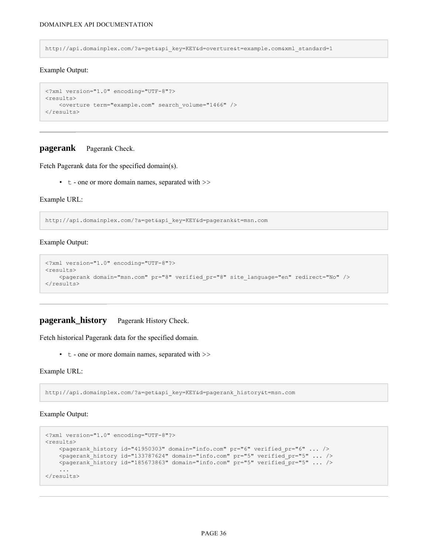http://api.domainplex.com/?a=get&api\_key=KEY&d=overture&t=example.com&xml\_standard=1

#### Example Output:

```
<?xml version="1.0" encoding="UTF-8"?>
<results>
   <overture term="example.com" search_volume="1466" />
\langle/results>
```
#### <span id="page-37-0"></span>**pagerank** Pagerank Check.

Fetch Pagerank data for the specified domain(s).

• t - one or more domain names, separated with >>

#### Example URL:

http://api.domainplex.com/?a=get&api\_key=KEY&d=pagerank&t=msn.com

#### Example Output:

```
<?xml version="1.0" encoding="UTF-8"?>
<results>
   <pagerank domain="msn.com" pr="8" verified_pr="8" site_language="en" redirect="No" />
</results>
```
### <span id="page-37-1"></span>**pagerank\_history** Pagerank History Check.

Fetch historical Pagerank data for the specified domain.

• t - one or more domain names, separated with >>

Example URL:

http://api.domainplex.com/?a=get&api\_key=KEY&d=pagerank\_history&t=msn.com

#### Example Output:

```
<?xml version="1.0" encoding="UTF-8"?>
<results>
   <pagerank_history id="41950303" domain="info.com" pr="6" verified_pr="6" ... />
   <pagerank_history id="133787624" domain="info.com" pr="5" verified_pr="5" ... />
   <pagerank history id="185673863" domain="info.com" pr="5" verified pr="5" ... />
    ...
\langle/results>
```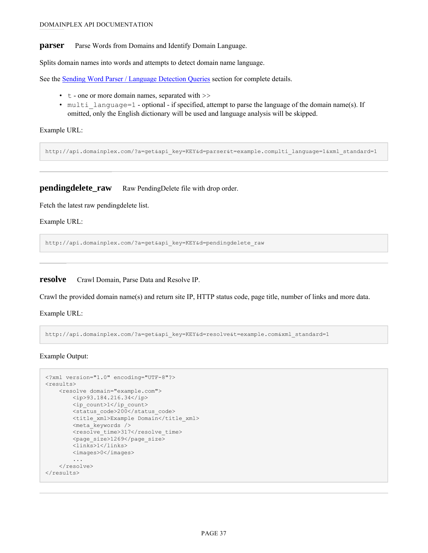<span id="page-38-0"></span>**parser** Parse Words from Domains and Identify Domain Language.

Splits domain names into words and attempts to detect domain name language.

See the **[Sending Word Parser / Language Detection Queries](#page-16-0)** section for complete details.

- $\cdot$  t one or more domain names, separated with  $\gg$
- multi language=1 optional if specified, attempt to parse the language of the domain name(s). If omitted, only the English dictionary will be used and language analysis will be skipped.

Example URL:

http://api.domainplex.com/?a=get&api\_key=KEY&d=parser&t=example.comμlti\_language=1&xml\_standard=1

<span id="page-38-1"></span>**pendingdelete\_raw** Raw PendingDelete file with drop order.

Fetch the latest raw pendingdelete list.

Example URL:

http://api.domainplex.com/?a=get&api\_key=KEY&d=pendingdelete\_raw

<span id="page-38-2"></span>**resolve** Crawl Domain, Parse Data and Resolve IP.

Crawl the provided domain name(s) and return site IP, HTTP status code, page title, number of links and more data.

Example URL:

http://api.domainplex.com/?a=get&api\_key=KEY&d=resolve&t=example.com&xml\_standard=1

Example Output:

```
<?xml version="1.0" encoding="UTF-8"?>
<results>
    <resolve domain="example.com">
        <ip>93.184.216.34</ip>
        <ip_count>1</ip_count>
        <status_code>200</status_code>
        <title_xml>Example_Domain</title_xml>
        <meta_keywords />
        <resolve_time>317</resolve_time>
        \overline{\text{space}} size>1269</page_size>
        <links>1</links>
        <images>0</images>
        ...
    \langle/resolve>
</results>
```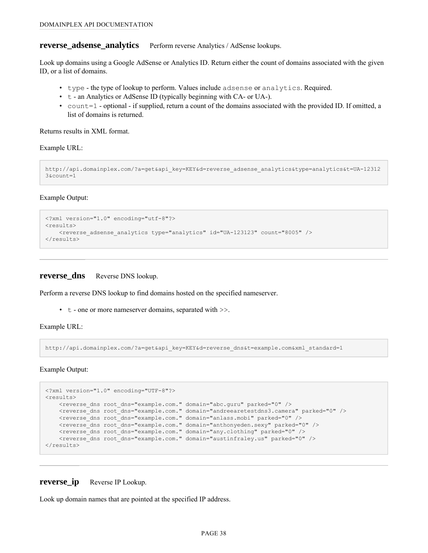#### <span id="page-39-0"></span>**reverse\_adsense\_analytics** Perform reverse Analytics / AdSense lookups.

Look up domains using a Google AdSense or Analytics ID. Return either the count of domains associated with the given ID, or a list of domains.

- type the type of lookup to perform. Values include adsense or analytics. Required.
- t an Analytics or AdSense ID (typically beginning with CA- or UA-).
- count=1 optional if supplied, return a count of the domains associated with the provided ID. If omitted, a list of domains is returned.

Returns results in XML format.

Example URL:

```
http://api.domainplex.com/?a=get&api_key=KEY&d=reverse_adsense_analytics&type=analytics&t=UA-12312
3&\text{count}=1
```
Example Output:

```
<?xml version="1.0" encoding="utf-8"?>
<results>
    <reverse adsense analytics type="analytics" id="UA-123123" count="8005" />
\langle/results>
```
#### <span id="page-39-1"></span>**reverse\_dns** Reverse DNS lookup.

Perform a reverse DNS lookup to find domains hosted on the specified nameserver.

• t - one or more nameserver domains, separated with >>.

Example URL:

http://api.domainplex.com/?a=get&api\_key=KEY&d=reverse\_dns&t=example.com&xml\_standard=1

Example Output:

```
<?xml version="1.0" encoding="UTF-8"?>
<results>
   <reverse_dns root_dns="example.com." domain="abc.guru" parked="0" />
   <reverse_dns root_dns="example.com." domain="andreearetestdns3.camera" parked="0" />
   <reverse_dns root_dns="example.com." domain="anlass.mobi" parked="0" />
   <reverse dns root dns="example.com." domain="anthonyeden.sexy" parked="0" />
   <reverse_dns root_dns="example.com." domain="any.clothing" parked="0" />
   <reverse dns root dns="example.com." domain="austinfraley.us" parked="0" />
</results>
```
#### <span id="page-39-2"></span>**reverse\_ip** Reverse IP Lookup.

Look up domain names that are pointed at the specified IP address.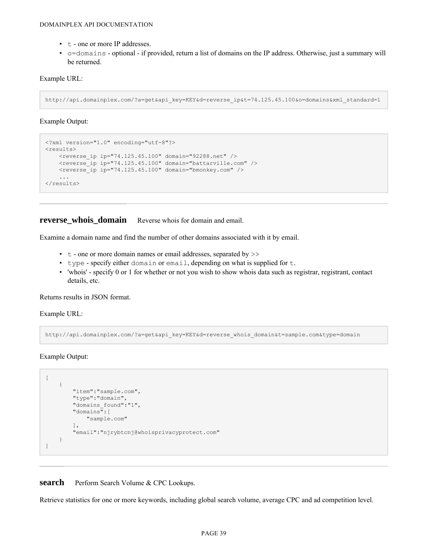- t one or more IP addresses.
- o=domains optional if provided, return a list of domains on the IP address. Otherwise, just a summary will be returned.

#### Example URL:

http://api.domainplex.com/?a=get&api\_key=KEY&d=reverse\_ip&t=74.125.45.100&o=domains&xml\_standard=1

Example Output:

```
<?xml version="1.0" encoding="utf-8"?>
<results>
    <reverse ip ip="74.125.45.100" domain="92288.net" />
    <reverse_ip ip="74.125.45.100" domain="battarville.com" />
    \overline{\phantom{0}} /> \overline{\phantom{0}} ip="74.125.45.100" domain="bmonkey.com" />
    ...
\langle/results>
```
<span id="page-40-0"></span>**reverse** whois **domain** Reverse whois for domain and email.

Examine a domain name and find the number of other domains associated with it by email.

- $\cdot$  t one or more domain names or email addresses, separated by  $\gg$
- type specify either domain or email, depending on what is supplied for t.
- 'whois' specify 0 or 1 for whether or not you wish to show whois data such as registrar, registrant, contact details, etc.

Returns results in JSON format.

Example URL:

http://api.domainplex.com/?a=get&api\_key=KEY&d=reverse\_whois\_domain&t=sample.com&type=domain

Example Output:

```
[
    {
         "item":"sample.com",
         "type":"domain",
         "domains_found":"1",
         "domains":[
             "sample.com"
         \frac{1}{2},
         "email":"njrybtcnj@whoisprivacyprotect.com"
    }
\, \, \,
```
<span id="page-40-1"></span>**search** Perform Search Volume & CPC Lookups.

Retrieve statistics for one or more keywords, including global search volume, average CPC and ad competition level.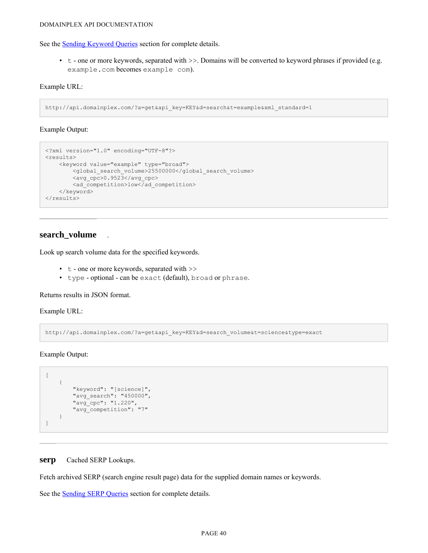See the [Sending Keyword Queries](#page-11-0) section for complete details.

 $\cdot$  t - one or more keywords, separated with  $\geq$ . Domains will be converted to keyword phrases if provided (e.g. example.com becomes example com).

#### Example URL:

```
http://api.domainplex.com/?a=get&api_key=KEY&d=search&t=example&xml_standard=1
```
#### Example Output:

```
<?xml version="1.0" encoding="UTF-8"?>
<results>
   <keyword value="example" type="broad">
       <global_search_volume>25500000</global_search_volume>
       <avg_cpc>0.9523</avg_cpc>
       <ad competition>low</ad competition>
   </keyword>
\langle/results>
```
## **search\_volume** .

Look up search volume data for the specified keywords.

- t one or more keywords, separated with >>
- type optional can be exact (default), broad or phrase.

Returns results in JSON format.

Example URL:

http://api.domainplex.com/?a=get&api\_key=KEY&d=search\_volume&t=science&type=exact

Example Output:

```
\overline{[}{
         "keyword": "[science]",
         "avg search": "450000",
         "avg_cpc": "1.220",
         "avg_competition": "7"
    }
]
```
#### <span id="page-41-0"></span>**serp** Cached SERP Lookups.

Fetch archived SERP (search engine result page) data for the supplied domain names or keywords.

See the [Sending SERP Queries](#page-20-1) section for complete details.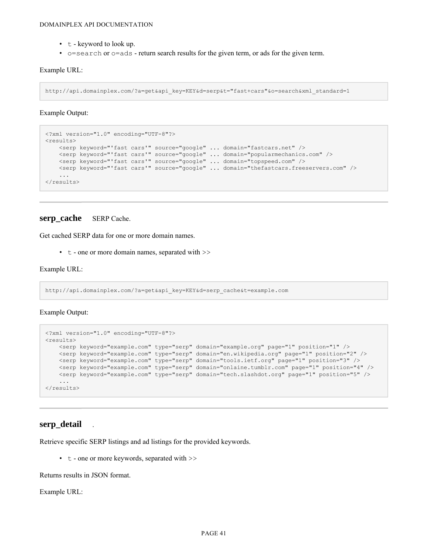- t keyword to look up.
- o=search or o=ads return search results for the given term, or ads for the given term.

Example URL:

http://api.domainplex.com/?a=get&api\_key=KEY&d=serp&t="fast+cars"&o=search&xml\_standard=1

Example Output:

```
<?xml version="1.0" encoding="UTF-8"?>
<results>
    <serp keyword="'fast cars'" source="google" ... domain="fastcars.net" />
    <serp keyword="'fast cars'" source="google" ... domain="popularmechanics.com" />
    <serp keyword="'fast cars'" source="google" ... domain="topspeed.com" />
    <serp keyword="'fast cars'" source="google" ... domain="thefastcars.freeservers.com" />
   ...
\langle/results>
```
### <span id="page-42-0"></span>**serp\_cache** SERP Cache.

Get cached SERP data for one or more domain names.

 $\cdot$  t - one or more domain names, separated with  $\gg$ 

Example URL:

http://api.domainplex.com/?a=get&api\_key=KEY&d=serp\_cache&t=example.com

Example Output:

```
<?xml version="1.0" encoding="UTF-8"?>
<results>
   <serp keyword="example.com" type="serp" domain="example.org" page="1" position="1" />
   <serp keyword="example.com" type="serp" domain="en.wikipedia.org" page="1" position="2" />
   <serp keyword="example.com" type="serp" domain="tools.ietf.org" page="1" position="3" />
   <serp keyword="example.com" type="serp" domain="onlaine.tumblr.com" page="1" position="4" />
   <serp keyword="example.com" type="serp" domain="tech.slashdot.org" page="1" position="5" />
   ...
\langle/results>
```
### **serp\_detail** .

Retrieve specific SERP listings and ad listings for the provided keywords.

•  $t -$  one or more keywords, separated with  $\gg$ 

Returns results in JSON format.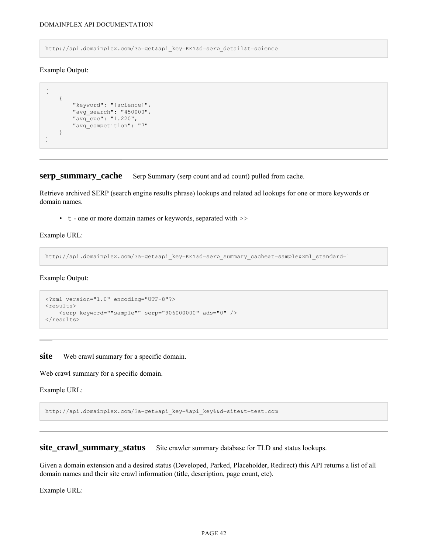http://api.domainplex.com/?a=get&api\_key=KEY&d=serp\_detail&t=science

Example Output:

```
\overline{[}{
         "keyword": "[science]",
         "avg_search": "450000",
         "avg_cpc": "1.220",
         "avg_competition": "7"
     }
]
```
<span id="page-43-0"></span>**serp\_summary\_cache** Serp Summary (serp count and ad count) pulled from cache.

Retrieve archived SERP (search engine results phrase) lookups and related ad lookups for one or more keywords or domain names.

• t - one or more domain names or keywords, separated with >>

Example URL:

http://api.domainplex.com/?a=get&api\_key=KEY&d=serp\_summary\_cache&t=sample&xml\_standard=1

Example Output:

```
<?xml version="1.0" encoding="UTF-8"?>
<results>
    <serp keyword=""sample"" serp="906000000" ads="0" />
\langle/results>
```
<span id="page-43-1"></span>**site** Web crawl summary for a specific domain.

Web crawl summary for a specific domain.

Example URL:

http://api.domainplex.com/?a=get&api\_key=%api\_key%&d=site&t=test.com

<span id="page-43-2"></span>site\_crawl\_summary\_status Site crawler summary database for TLD and status lookups.

Given a domain extension and a desired status (Developed, Parked, Placeholder, Redirect) this API returns a list of all domain names and their site crawl information (title, description, page count, etc).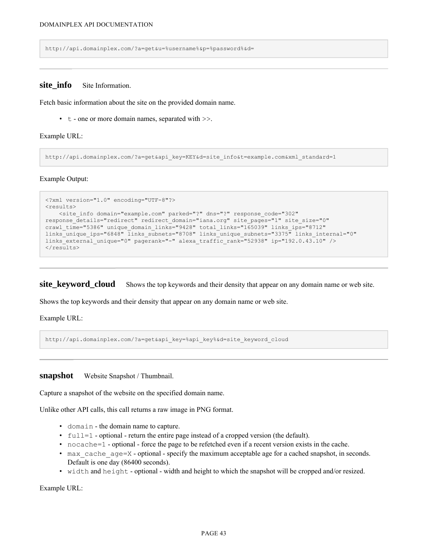http://api.domainplex.com/?a=get&u=%username%&p=%password%&d=

### <span id="page-44-0"></span>**site info** Site Information.

Fetch basic information about the site on the provided domain name.

• t - one or more domain names, separated with >>.

Example URL:

http://api.domainplex.com/?a=get&api\_key=KEY&d=site\_info&t=example.com&xml\_standard=1

Example Output:

```
<?xml version="1.0" encoding="UTF-8"?>
<results>
   <site_info domain="example.com" parked="?" dns="?" response_code="302"
response details="redirect" redirect domain="iana.org" site pages="1" site size="0"
crawl_time="5386" unique_domain_links="9428" total_links="165039" links_ips="8712"
links unique ips="6848" links subnets="8708" links unique subnets="3375" links internal="0"
links_external_unique="0" pagerank="-" alexa_traffic_rank="52938" ip="192.0.43.10" />
\langleresults>
```
<span id="page-44-1"></span>**site\_keyword\_cloud** Shows the top keywords and their density that appear on any domain name or web site.

Shows the top keywords and their density that appear on any domain name or web site.

Example URL:

http://api.domainplex.com/?a=get&api\_key=%api\_key%&d=site\_keyword\_cloud

<span id="page-44-2"></span>**snapshot** Website Snapshot / Thumbnail.

Capture a snapshot of the website on the specified domain name.

Unlike other API calls, this call returns a raw image in PNG format.

- domain the domain name to capture.
- full=1 optional return the entire page instead of a cropped version (the default).
- nocache=1 optional force the page to be refetched even if a recent version exists in the cache.
- max cache  $age=X$  optional specify the maximum acceptable age for a cached snapshot, in seconds. Default is one day (86400 seconds).
- width and height optional width and height to which the snapshot will be cropped and/or resized.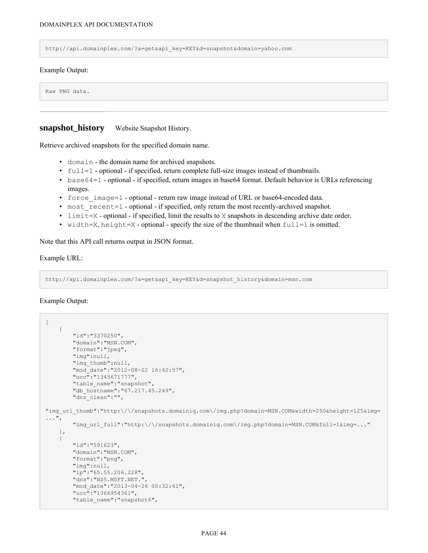http://api.domainplex.com/?a=get&api\_key=KEY&d=snapshot&domain=yahoo.com

#### Example Output:

Raw PNG data.

### <span id="page-45-0"></span>**snapshot history** Website Snapshot History.

Retrieve archived snapshots for the specified domain name.

- domain the domain name for archived snapshots.
- full=1 optional if specified, return complete full-size images instead of thumbnails.
- base64=1 optional if specified, return images in base64 format. Default behavior is URLs referencing images.
- force image=1 optional return raw image instead of URL or base64-encoded data.
- most recent=1 optional if specified, only return the most recently-archived snapshot.
- limit=X optional if specified, limit the results to X snapshots in descending archive date order.
- width=X, height=X optional specify the size of the thumbnail when  $full=1$  is omitted.

Note that this API call returns output in JSON format.

#### Example URL:

http://api.domainplex.com/?a=get&api\_key=KEY&d=snapshot\_history&domain=msn.com

#### Example Output:

```
\overline{[}{
        "id":"3370250",
        "domain":"MSN.COM",
        "format":"jpeg",
        "img":null,
        "img_thumb":null,
        "mod_date":"2012-08-22 16:42:57",
        "ucc":"1345671777",
        "table_name":"snapshot",
        "db_hostname":"67.217.45.249",
        "dns_clean":"",
"img_url_thumb":"http:\/\/snapshots.domainiq.com\/img.php?domain=MSN.COM&width=250&height=125&img=
...",
        "img_url_full":"http:\/\/snapshots.domainiq.com\/img.php?domain=MSN.COM&full=1&img=..."
    },
    {
        "id":"591623",
        "domain":"MSN.COM",
        "format":"png",
        "img":null,
        "ip":"65.55.206.228",
        "dns":"NS5.MSFT.NET.",
        "mod_date":"2013-04-26 00:32:41",
        "ucc":"1366954361",
        "table_name": "snapshot6",
```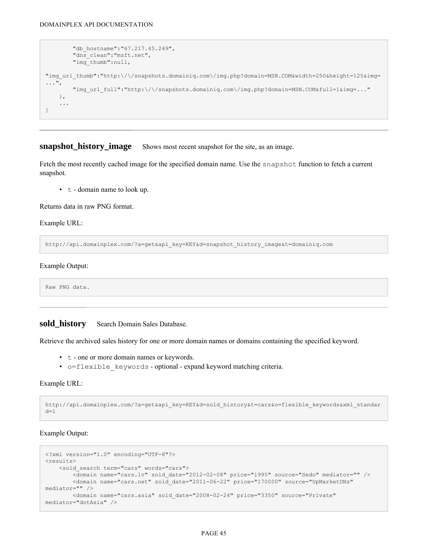```
"db_hostname":"67.217.45.249",
        "dns_clean":"msft.net",
        "img_thumb":null,
"img_url_thumb":"http:\/\/snapshots.domainiq.com\/img.php?domain=MSN.COM&width=250&height=125&img=
...",
        "img_url_full":"http:\/\/snapshots.domainiq.com\/img.php?domain=MSN.COM&full=1&img=..."
   },
    ...
]
```
#### <span id="page-46-0"></span>**snapshot\_history\_image** Shows most recent snapshot for the site, as an image.

Fetch the most recently cached image for the specified domain name. Use the snapshot function to fetch a current snapshot.

 $\cdot$  t - domain name to look up.

Returns data in raw PNG format.

Example URL:

http://api.domainplex.com/?a=get&api\_key=KEY&d=snapshot\_history\_image&t=domainiq.com

Example Output:

Raw PNG data.

### <span id="page-46-1"></span>sold history Search Domain Sales Database.

Retrieve the archived sales history for one or more domain names or domains containing the specified keyword.

- t one or more domain names or keywords.
- o=flexible keywords optional expand keyword matching criteria.

Example URL:

```
http://api.domainplex.com/?a=get&api_key=KEY&d=sold_history&t=cars&o=flexible_keywords&xml_standar
d=1
```
Example Output:

```
<?xml version="1.0" encoding="UTF-8"?>
<results>
    <sold_search term="cars" words="cars">
        <domain name="cars.lv" sold_date="2012-02-08" price="1995" source="Sedo" mediator="" />
       <domain name="cars.net" sold_date="2011-06-22" price="170000" source="UpMarketDNs"
mediator="" />
       <domain name="cars.asia" sold_date="2008-02-24" price="3350" source="Private"
mediator="dotAsia" />
```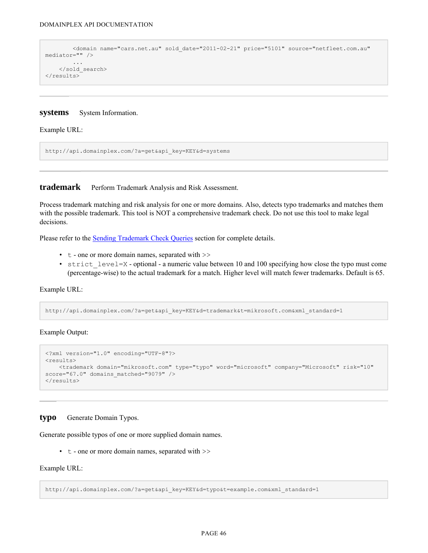```
<domain name="cars.net.au" sold_date="2011-02-21" price="5101" source="netfleet.com.au"
mediator="" />
         ...
    </sold_search>
\langle/results>
```
#### <span id="page-47-0"></span>**systems** System Information.

Example URL:

http://api.domainplex.com/?a=get&api\_key=KEY&d=systems

<span id="page-47-1"></span>**trademark** Perform Trademark Analysis and Risk Assessment.

Process trademark matching and risk analysis for one or more domains. Also, detects typo trademarks and matches them with the possible trademark. This tool is NOT a comprehensive trademark check. Do not use this tool to make legal decisions.

Please refer to the **[Sending Trademark Check Queries](#page-15-0)** section for complete details.

- t one or more domain names, separated with >>
- strict level=X optional a numeric value between 10 and 100 specifying how close the typo must come (percentage-wise) to the actual trademark for a match. Higher level will match fewer trademarks. Default is 65.

Example URL:

http://api.domainplex.com/?a=get&api\_key=KEY&d=trademark&t=mikrosoft.com&xml\_standard=1

Example Output:

```
<?xml version="1.0" encoding="UTF-8"?>
rac{1}{5}<trademark domain="mikrosoft.com" type="typo" word="microsoft" company="Microsoft" risk="10"
score="67.0" domains matched="9079" />
</results>
```
#### <span id="page-47-2"></span>**typo** Generate Domain Typos.

Generate possible typos of one or more supplied domain names.

 $\cdot$  t - one or more domain names, separated with  $\gg$ 

Example URL:

http://api.domainplex.com/?a=get&api\_key=KEY&d=typo&t=example.com&xml\_standard=1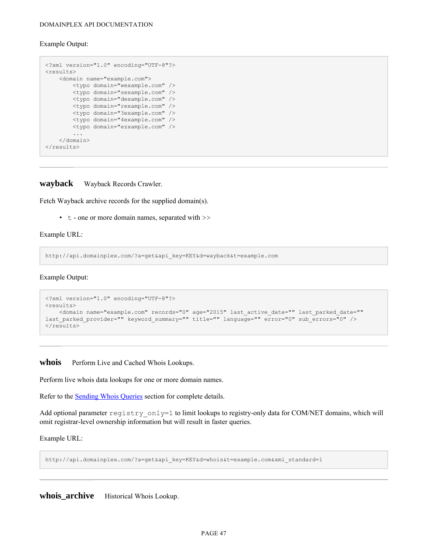#### Example Output:

```
<?xml version="1.0" encoding="UTF-8"?>
<results>
   <domain name="example.com">
       <typo domain="wexample.com" />
       <typo domain="sexample.com" />
       <typo domain="dexample.com" />
       <typo domain="rexample.com" />
       <typo domain="3example.com" />
       <typo domain="4example.com" />
       <typo domain="ezxample.com" />
        ...
   </domain>
\langle/results>
```
<span id="page-48-0"></span>**wayback** Wayback Records Crawler.

Fetch Wayback archive records for the supplied domain(s).

• t - one or more domain names, separated with >>

Example URL:

http://api.domainplex.com/?a=get&api\_key=KEY&d=wayback&t=example.com

Example Output:

```
<?xml version="1.0" encoding="UTF-8"?>
<results>
   <domain name="example.com" records="0" age="2015" last_active_date="" last_parked_date=""
last_parked_provider="" keyword_summary="" title="" language="" error="0" sub errors="0" />
\langle/results>
```
<span id="page-48-1"></span>whois Perform Live and Cached Whois Lookups.

Perform live whois data lookups for one or more domain names.

Refer to the [Sending Whois Queries](#page-12-0) section for complete details.

Add optional parameter  $\text{registry\_only} = 1$  to limit lookups to registry-only data for COM/NET domains, which will omit registrar-level ownership information but will result in faster queries.

Example URL:

http://api.domainplex.com/?a=get&api\_key=KEY&d=whois&t=example.com&xml\_standard=1

<span id="page-48-2"></span>**whois\_archive** Historical Whois Lookup.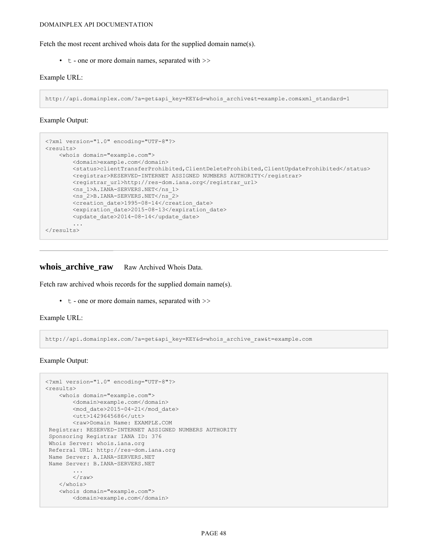Fetch the most recent archived whois data for the supplied domain name(s).

 $\cdot$  t - one or more domain names, separated with  $\gg$ 

#### Example URL:

http://api.domainplex.com/?a=get&api\_key=KEY&d=whois\_archive&t=example.com&xml\_standard=1

#### Example Output:

```
<?xml version="1.0" encoding="UTF-8"?>
<results>
   <whois domain="example.com">
        <domain>example.com</domain>
        <status>clientTransferProhibited,ClientDeleteProhibited,ClientUpdateProhibited</status>
        <registrar>RESERVED-INTERNET ASSIGNED NUMBERS AUTHORITY</registrar>
       <registrar url>http://res-dom.iana.org</registrar url>
        <ns_1>A.IANA-SERVERS.NET</ns_1>
        <ns_2>B.IANA-SERVERS.NET</ns_2>
        <creation_date>1995-08-14</creation_date>
        <expiration_date>2015-08-13</expiration_date>
        <update_date>2014-08-14</update_date>
        ...
\langle/results>
```
## <span id="page-49-0"></span>whois archive raw Raw Archived Whois Data.

Fetch raw archived whois records for the supplied domain name(s).

• t - one or more domain names, separated with >>

```
Example URL:
```
http://api.domainplex.com/?a=get&api\_key=KEY&d=whois\_archive\_raw&t=example.com

#### Example Output:

```
<?xml version="1.0" encoding="UTF-8"?>
<results>
    <whois domain="example.com">
        <domain>example.com</domain>
        <mod_date>2015-04-21</mod_date>
        <utt>1429645686</utt>
        <raw>Domain Name: EXAMPLE.COM
Registrar: RESERVED-INTERNET ASSIGNED NUMBERS AUTHORITY
Sponsoring Registrar IANA ID: 376
Whois Server: whois.iana.org
Referral URL: http://res-dom.iana.org
Name Server: A.IANA-SERVERS.NET
Name Server: B.IANA-SERVERS.NET
        ...
        \langle/raw\rangle</whois>
    <whois domain="example.com">
        <domain>example.com</domain>
```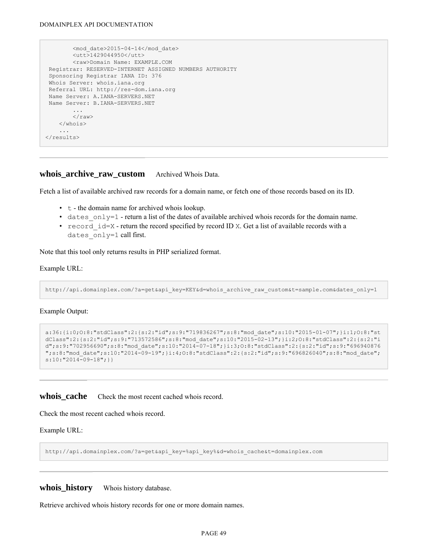```
<mod_date>2015-04-14</mod_date>
        <utt>1429044950</utt>
        <raw>Domain Name: EXAMPLE.COM
Registrar: RESERVED-INTERNET ASSIGNED NUMBERS AUTHORITY
Sponsoring Registrar IANA ID: 376
Whois Server: whois.iana.org
Referral URL: http://res-dom.iana.org
Name Server: A.IANA-SERVERS.NET
Name Server: B.IANA-SERVERS.NET
        ...
        \langle/raw\rangle</whois>
    ...
</results>
```
### <span id="page-50-0"></span>**whois archive raw custom** Archived Whois Data.

Fetch a list of available archived raw records for a domain name, or fetch one of those records based on its ID.

- t the domain name for archived whois lookup.
- dates only=1 return a list of the dates of available archived whois records for the domain name.
- record  $id = X$  return the record specified by record ID X. Get a list of available records with a dates only=1 call first.

Note that this tool only returns results in PHP serialized format.

#### Example URL:

http://api.domainplex.com/?a=get&api\_key=KEY&d=whois\_archive\_raw\_custom&t=sample.com&dates\_only=1

#### Example Output:

```
a:36:{i:0;O:8:"stdClass":2:{s:2:"id";s:9:"719836267";s:8:"mod_date";s:10:"2015-01-07";}i:1;O:8:"st
dClass":2:{s:2:"id";s:9:"713572586";s:8:"mod_date";s:10:"2015-02-13";}i:2;O:8:"stdClass":2:{s:2:"i
d";s:9:"702956690";s:8:"mod_date";s:10:"2014-07-18";}i:3;O:8:"stdClass":2:{s:2:"id";s:9:"696940876
";s:8:"mod_date";s:10:"2014-09-19";}i:4;O:8:"stdClass":2:{s:2:"id";s:9:"696826040";s:8:"mod_date";
s:10:"2014-09-18";}}
```
#### <span id="page-50-1"></span>**whois cache** Check the most recent cached whois record.

Check the most recent cached whois record.

#### Example URL:

http://api.domainplex.com/?a=get&api\_key=%api\_key%&d=whois\_cache&t=domainplex.com

<span id="page-50-2"></span>whois history Whois history database.

Retrieve archived whois history records for one or more domain names.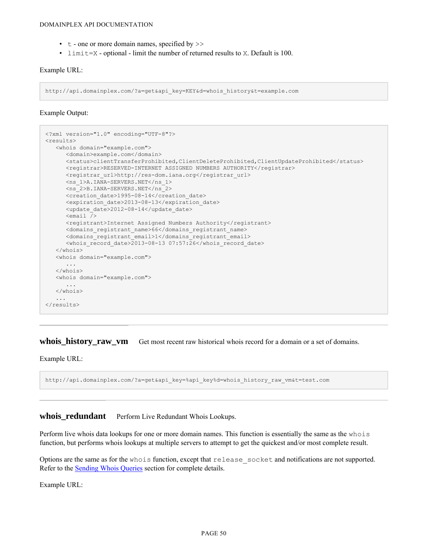- $\cdot$  t one or more domain names, specified by  $\gg$
- limit=X optional limit the number of returned results to X. Default is 100.

#### Example URL:

http://api.domainplex.com/?a=get&api\_key=KEY&d=whois\_history&t=example.com

#### Example Output:

```
<?xml version="1.0" encoding="UTF-8"?>
\langleresults>
   <whois domain="example.com">
     <domain>example.com</domain>
      <status>clientTransferProhibited,ClientDeleteProhibited,ClientUpdateProhibited</status>
      <registrar>RESERVED-INTERNET ASSIGNED NUMBERS AUTHORITY</registrar>
      <registrar_url>http://res-dom.iana.org</registrar_url>
     <ns_1>A.IANA-SERVERS.NET</ns_1>
      <ns_2>B.IANA-SERVERS.NET</ns_2>
      <creation_date>1995-08-14</creation_date>
      <expiration_date>2013-08-13</expiration_date>
      <update_date>2012-08-14</update_date>
      \leqemail \sqrt{<registrant>Internet Assigned Numbers Authority</registrant>
      <domains_registrant_name>66</domains_registrant_name>
      <domains_registrant_email>1</domains_registrant_email>
      <whois record date>2013-08-13 07:57:26</whois record date>
   </whois>
   <whois domain="example.com">
      ...
   </whois>
   <whois domain="example.com">
     ...
   </whois>
   ...
\langle/results>
```
<span id="page-51-0"></span>whois\_history\_raw\_vm Get most recent raw historical whois record for a domain or a set of domains.

Example URL:

http://api.domainplex.com/?a=get&api\_key=%api\_key%d=whois\_history\_raw\_vm&t=test.com

## <span id="page-51-1"></span>whois redundant Perform Live Redundant Whois Lookups.

Perform live whois data lookups for one or more domain names. This function is essentially the same as the whois function, but performs whois lookups at multiple servers to attempt to get the quickest and/or most complete result.

Options are the same as for the whois function, except that release\_socket and notifications are not supported. Refer to the **[Sending Whois Queries](#page-12-0)** section for complete details.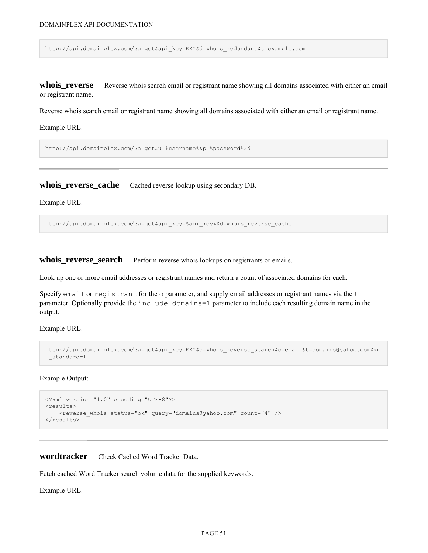http://api.domainplex.com/?a=get&api\_key=KEY&d=whois\_redundant&t=example.com

<span id="page-52-0"></span>**whois\_reverse** Reverse whois search email or registrant name showing all domains associated with either an email or registrant name.

Reverse whois search email or registrant name showing all domains associated with either an email or registrant name.

Example URL:

http://api.domainplex.com/?a=get&u=%username%&p=%password%&d=

<span id="page-52-1"></span>**whois\_reverse\_cache** Cached reverse lookup using secondary DB.

Example URL:

http://api.domainplex.com/?a=get&api\_key=%api\_key%&d=whois\_reverse\_cache

<span id="page-52-2"></span>**whois\_reverse\_search** Perform reverse whois lookups on registrants or emails.

Look up one or more email addresses or registrant names and return a count of associated domains for each.

Specify email or registrant for the  $\circ$  parameter, and supply email addresses or registrant names via the  $\pm$ parameter. Optionally provide the include\_domains=1 parameter to include each resulting domain name in the output.

Example URL:

```
http://api.domainplex.com/?a=get&api key=KEY&d=whois reverse search&o=email&t=domains@yahoo.com&xm
l_standard=1
```
Example Output:

```
<?xml version="1.0" encoding="UTF-8"?>
<results>
   <reverse whois status="ok" query="domains@yahoo.com" count="4" />
\langle/results>
```
<span id="page-52-3"></span>**wordtracker** Check Cached Word Tracker Data.

Fetch cached Word Tracker search volume data for the supplied keywords.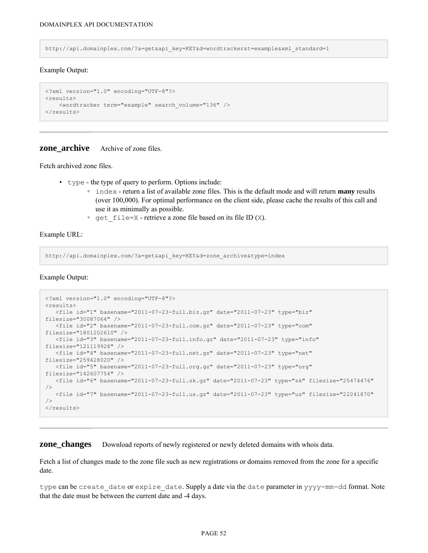http://api.domainplex.com/?a=get&api\_key=KEY&d=wordtracker&t=example&xml\_standard=1

#### Example Output:

```
<?xml version="1.0" encoding="UTF-8"?>
<results>
   <wordtracker term="example" search_volume="136" />
\langle/results>
```
### <span id="page-53-0"></span>**zone\_archive** Archive of zone files.

Fetch archived zone files.

- type the type of query to perform. Options include:
	- index return a list of available zone files. This is the default mode and will return **many** results (over 100,000). For optimal performance on the client side, please cache the results of this call and use it as minimally as possible.
	- get  $file=X$  retrieve a zone file based on its file ID (X).

Example URL:

http://api.domainplex.com/?a=get&api\_key=KEY&d=zone\_archive&type=index

Example Output:

```
<?xml version="1.0" encoding="UTF-8"?>
<results>
  <file id="1" basename="2011-07-23-full.biz.gz" date="2011-07-23" type="biz"
filesize="30087064" />
  <file id="2" basename="2011-07-23-full.com.gz" date="2011-07-23" type="com"
filesize="1801202610" />
  <file id="3" basename="2011-07-23-full.info.gz" date="2011-07-23" type="info"
filesize="121119928" />
  <file id="4" basename="2011-07-23-full.net.gz" date="2011-07-23" type="net"
filesize="259428020" />
  <file id="5" basename="2011-07-23-full.org.gz" date="2011-07-23" type="org"
filesize="142607754" />
  <file id="6" basename="2011-07-23-full.sk.gz" date="2011-07-23" type="sk" filesize="25474476"
/>
  <file id="7" basename="2011-07-23-full.us.gz" date="2011-07-23" type="us" filesize="22241870"
/</results>
```
<span id="page-53-1"></span>**zone\_changes** Download reports of newly registered or newly deleted domains with whois data.

Fetch a list of changes made to the zone file such as new registrations or domains removed from the zone for a specific date.

type can be create date or expire date. Supply a date via the date parameter in yyyy-mm-dd format. Note that the date must be between the current date and -4 days.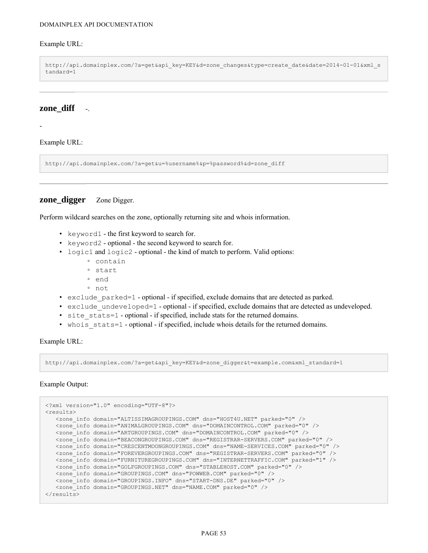#### Example URL:

http://api.domainplex.com/?a=get&api\_key=KEY&d=zone\_changes&type=create\_date&date=2014-01-01&xml\_s tandard=1

## <span id="page-54-0"></span>**zone** diff -.

-

Example URL:

http://api.domainplex.com/?a=get&u=%username%&p=%password%&d=zone\_diff

## <span id="page-54-1"></span>**zone** digger Zone Digger.

Perform wildcard searches on the zone, optionally returning site and whois information.

- keyword1 the first keyword to search for.
- keyword2 optional the second keyword to search for.
- logic1 and logic2 optional the kind of match to perform. Valid options:
	- contain
	- start
	- end
	- not
- exclude parked=1 optional if specified, exclude domains that are detected as parked.
- exclude undeveloped=1 optional if specified, exclude domains that are detected as undeveloped.
- site stats=1 optional if specified, include stats for the returned domains.
- whois stats=1 optional if specified, include whois details for the returned domains.

Example URL:

http://api.domainplex.com/?a=get&api\_key=KEY&d=zone\_digger&t=example.com&xml\_standard=1

#### Example Output:

```
<?xml version="1.0" encoding="UTF-8"?>
<results>
  <zone_info domain="ALTISSIMAGROUPINGS.COM" dns="HOST4U.NET" parked="0" />
  <zone_info domain="ANIMALGROUPINGS.COM" dns="DOMAINCONTROL.COM" parked="0" />
  <zone_info domain="ARTGROUPINGS.COM" dns="DOMAINCONTROL.COM" parked="0" />
  <zone_info domain="BEACONGROUPINGS.COM" dns="REGISTRAR-SERVERS.COM" parked="0" />
  <zone_info domain="CRESCENTMOONGROUPINGS.COM" dns="NAME-SERVICES.COM" parked="0" />
  <zone_info domain="FOREVERGROUPINGS.COM" dns="REGISTRAR-SERVERS.COM" parked="0" />
  <zone_info domain="FURNITUREGROUPINGS.COM" dns="INTERNETTRAFFIC.COM" parked="1" />
  <zone_info domain="GOLFGROUPINGS.COM" dns="STABLEHOST.COM" parked="0" />
  <zone_info domain="GROUPINGS.COM" dns="POWWEB.COM" parked="0" />
  <zone_info domain="GROUPINGS.INFO" dns="START-DNS.DE" parked="0" />
  <zone_info domain="GROUPINGS.NET" dns="NAME.COM" parked="0" />
\langle/results>
```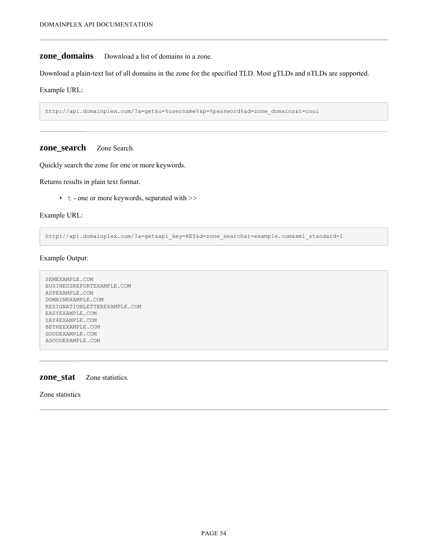## <span id="page-55-0"></span>**zone\_domains** Download a list of domains in a zone.

Download a plain-text list of all domains in the zone for the specified TLD. Most gTLDs and nTLDs are supported.

Example URL:

http://api.domainplex.com/?a=get&u=%username%&p=%password%&d=zone\_domains&t=cool

#### <span id="page-55-1"></span>**zone\_search** Zone Search.

Quickly search the zone for one or more keywords.

Returns results in plain text format.

• t - one or more keywords, separated with >>

Example URL:

http://api.domainplex.com/?a=get&api\_key=KEY&d=zone\_search&t=example.com&xml\_standard=1

Example Output:

```
SEMEXAMPLE.COM
BUSINESSREPORTEXAMPLE.COM
ASPEXAMPLE.COM
DOMAINEXAMPLE.COM
RESIGNATIONLETTEREXAMPLE.COM
EASYEXAMPLE.COM
SAY4EXAMPLE.COM
BETHEEXAMPLE.COM
GOODEXAMPLE.COM
AGOODEXAMPLE.COM
```
#### <span id="page-55-2"></span>**zone\_stat** Zone statistics.

Zone statistics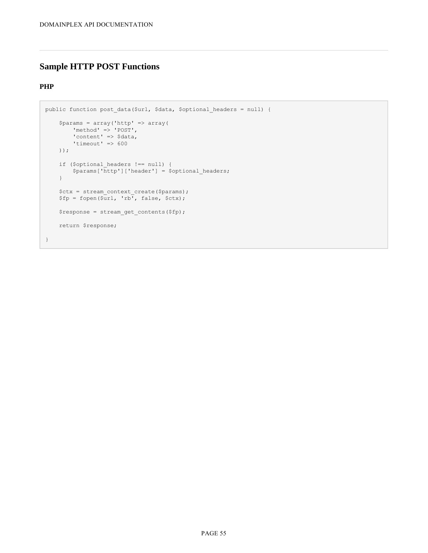## <span id="page-56-0"></span>**Sample HTTP POST Functions**

## **PHP**

```
public function post data($url, $data, $optional headers = null) {
   $params = array('http' => array(
       'method' => 'POST',
        'content' => $data,
       'timeout' => 600
    ));
    if ($optional_headers !== null) {
        $params['http']['header'] = $optional_headers;
    }
    $ctx = stream_context_create($params);
    $fp = fopen ($ur1, 'rb', false, $ctx);$response = stream get contents($fp);
   return $response;
}
```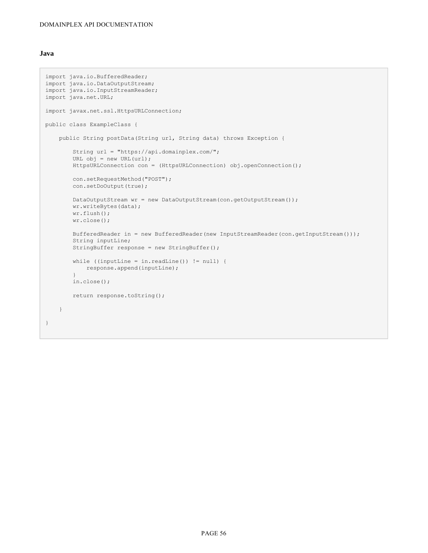#### **Java**

```
import java.io.BufferedReader;
import java.io.DataOutputStream;
import java.io.InputStreamReader;
import java.net.URL;
import javax.net.ssl.HttpsURLConnection;
public class ExampleClass {
    public String postData(String url, String data) throws Exception {
       String url = "https://api.domainplex.com/";
        URL obj = new URL(url);HttpsURLConnection con = (HttpsURLConnection) obj.openConnection();
       con.setRequestMethod("POST");
       con.setDoOutput(true);
       DataOutputStream wr = new DataOutputStream(con.getOutputStream());
       wr.writeBytes(data);
        wr.flush();
       wr.close();
        BufferedReader in = new BufferedReader(new InputStreamReader(con.getInputStream()));
        String inputLine;
        StringBuffer response = new StringBuffer();
        while ((inputLine = in.readLine()) != null) {
           response.append(inputLine);
        }
        in.close();
        return response.toString();
    }
}
```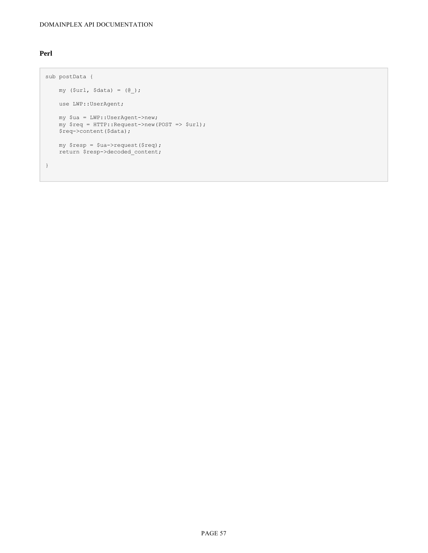## **Perl**

```
sub postData {
   my (Surl, Sdata) = (0);
   use LWP::UserAgent;
    my $ua = LWP::UserAgent->new;
    my $req = HTTP::Request->new(POST => $url);
   $req->content($data);
   my $resp = $ua->request($req);
   return $resp->decoded_content;
}
```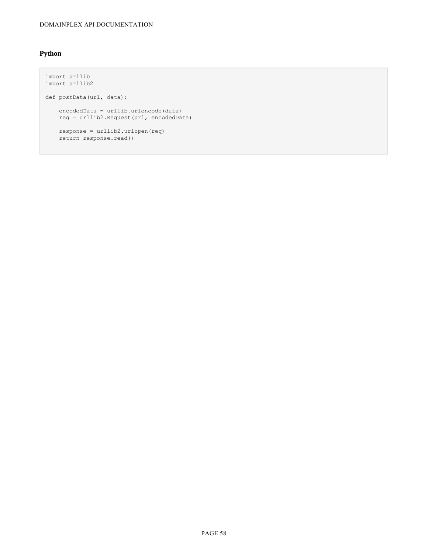## **Python**

```
import urllib
import urllib2
def postData(url, data):
    encodedData = urllib.urlencode(data)
    req = urllib2.Request(url, encodedData)
   response = urllib2.urlopen(req)
   return response.read()
```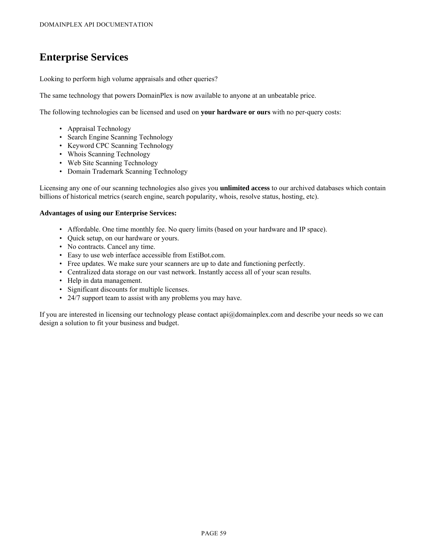# <span id="page-60-0"></span>**Enterprise Services**

Looking to perform high volume appraisals and other queries?

The same technology that powers DomainPlex is now available to anyone at an unbeatable price.

The following technologies can be licensed and used on **your hardware or ours** with no per-query costs:

- Appraisal Technology
- Search Engine Scanning Technology
- Keyword CPC Scanning Technology
- Whois Scanning Technology
- Web Site Scanning Technology
- Domain Trademark Scanning Technology

Licensing any one of our scanning technologies also gives you **unlimited access** to our archived databases which contain billions of historical metrics (search engine, search popularity, whois, resolve status, hosting, etc).

#### **Advantages of using our Enterprise Services:**

- Affordable. One time monthly fee. No query limits (based on your hardware and IP space).
- Quick setup, on our hardware or yours.
- No contracts. Cancel any time.
- Easy to use web interface accessible from EstiBot.com.
- Free updates. We make sure your scanners are up to date and functioning perfectly.
- Centralized data storage on our vast network. Instantly access all of your scan results.
- Help in data management.
- Significant discounts for multiple licenses.
- 24/7 support team to assist with any problems you may have.

If you are interested in licensing our technology please contact api@domainplex.com and describe your needs so we can design a solution to fit your business and budget.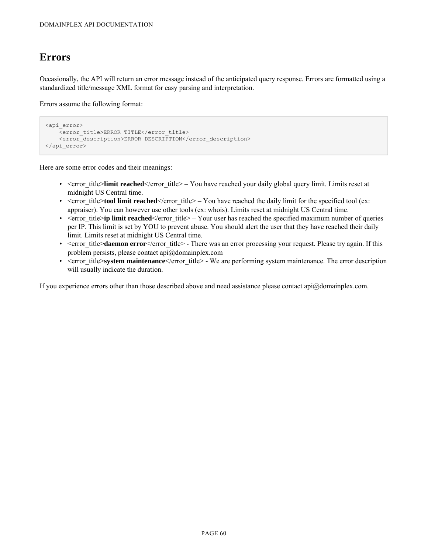## <span id="page-61-0"></span>**Errors**

Occasionally, the API will return an error message instead of the anticipated query response. Errors are formatted using a standardized title/message XML format for easy parsing and interpretation.

Errors assume the following format:

```
<api_error>
   <error_title>ERROR TITLE</error_title>
   <error_description>ERROR DESCRIPTION</error_description>
</api_error>
```
Here are some error codes and their meanings:

- < error title>**limit reached** </rror title> You have reached your daily global query limit. Limits reset at midnight US Central time.
- $\leq$   $\leq$   $\leq$   $\leq$   $\leq$   $\leq$   $\leq$   $\leq$   $\leq$   $\leq$   $\leq$   $\leq$   $\leq$   $\leq$   $\leq$   $\leq$   $\leq$   $\leq$   $\leq$   $\leq$   $\leq$   $\leq$   $\leq$   $\leq$   $\leq$   $\leq$   $\leq$   $\leq$   $\leq$   $\leq$   $\leq$   $\leq$   $\leq$   $\leq$   $\leq$   $\leq$   $\le$ appraiser). You can however use other tools (ex: whois). Limits reset at midnight US Central time.
- < error title>ip limit reached </error title> Your user has reached the specified maximum number of queries per IP. This limit is set by YOU to prevent abuse. You should alert the user that they have reached their daily limit. Limits reset at midnight US Central time.
- < error title>**daemon error**</error title> There was an error processing your request. Please try again. If this problem persists, please contact api@domainplex.com
- < error title>**system maintenance**</error title> We are performing system maintenance. The error description will usually indicate the duration.

If you experience errors other than those described above and need assistance please contact api@domainplex.com.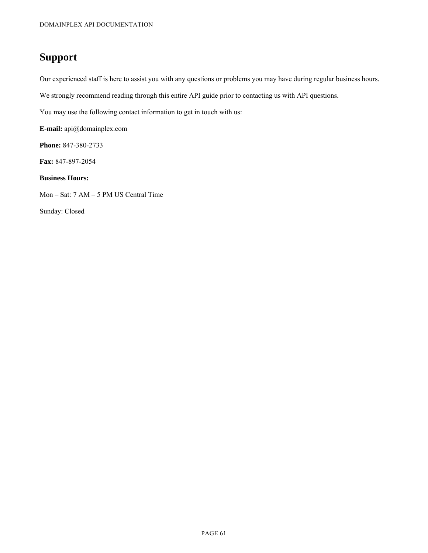# <span id="page-62-0"></span>**Support**

Our experienced staff is here to assist you with any questions or problems you may have during regular business hours.

We strongly recommend reading through this entire API guide prior to contacting us with API questions.

You may use the following contact information to get in touch with us:

**E-mail:** api@domainplex.com

**Phone:** 847-380-2733

**Fax:** 847-897-2054

#### **Business Hours:**

Mon – Sat: 7 AM – 5 PM US Central Time

Sunday: Closed